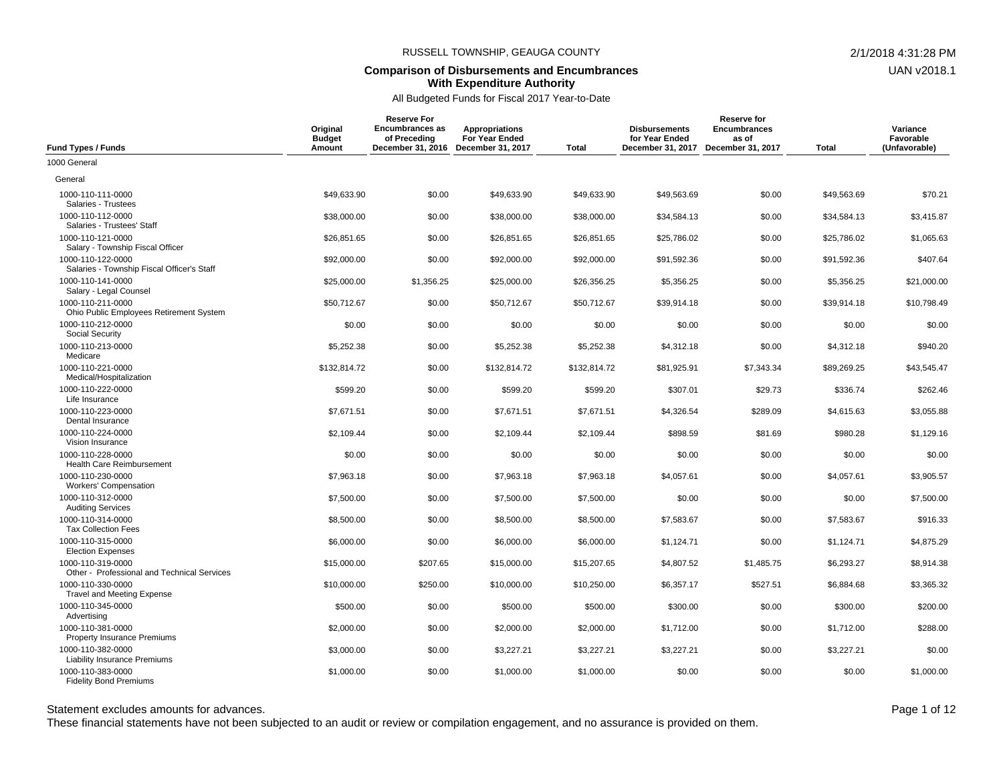#### **Comparison of Disbursements and Encumbrances With Expenditure Authority**

# All Budgeted Funds for Fiscal 2017 Year-to-Date

| <b>Fund Types / Funds</b>                                        | Original<br><b>Budget</b><br>Amount | <b>Reserve For</b><br><b>Encumbrances as</b><br>of Preceding<br>December 31, 2016 | <b>Appropriations</b><br>For Year Ended<br>December 31, 2017 | <b>Total</b> | <b>Disbursements</b><br>for Year Ended<br>December 31, 2017 | <b>Reserve for</b><br><b>Encumbrances</b><br>as of<br>December 31, 2017 | <b>Total</b> | Variance<br>Favorable<br>(Unfavorable) |
|------------------------------------------------------------------|-------------------------------------|-----------------------------------------------------------------------------------|--------------------------------------------------------------|--------------|-------------------------------------------------------------|-------------------------------------------------------------------------|--------------|----------------------------------------|
| 1000 General                                                     |                                     |                                                                                   |                                                              |              |                                                             |                                                                         |              |                                        |
| General                                                          |                                     |                                                                                   |                                                              |              |                                                             |                                                                         |              |                                        |
| 1000-110-111-0000<br>Salaries - Trustees                         | \$49,633.90                         | \$0.00                                                                            | \$49,633.90                                                  | \$49,633.90  | \$49,563.69                                                 | \$0.00                                                                  | \$49,563.69  | \$70.21                                |
| 1000-110-112-0000<br>Salaries - Trustees' Staff                  | \$38,000.00                         | \$0.00                                                                            | \$38,000.00                                                  | \$38,000.00  | \$34,584.13                                                 | \$0.00                                                                  | \$34,584.13  | \$3,415.87                             |
| 1000-110-121-0000<br>Salary - Township Fiscal Officer            | \$26,851.65                         | \$0.00                                                                            | \$26,851.65                                                  | \$26,851.65  | \$25,786.02                                                 | \$0.00                                                                  | \$25,786.02  | \$1,065.63                             |
| 1000-110-122-0000<br>Salaries - Township Fiscal Officer's Staff  | \$92,000.00                         | \$0.00                                                                            | \$92,000.00                                                  | \$92,000.00  | \$91,592.36                                                 | \$0.00                                                                  | \$91,592.36  | \$407.64                               |
| 1000-110-141-0000<br>Salary - Legal Counsel                      | \$25,000.00                         | \$1,356.25                                                                        | \$25,000.00                                                  | \$26,356.25  | \$5,356.25                                                  | \$0.00                                                                  | \$5,356.25   | \$21,000.00                            |
| 1000-110-211-0000<br>Ohio Public Employees Retirement System     | \$50.712.67                         | \$0.00                                                                            | \$50,712.67                                                  | \$50,712.67  | \$39,914.18                                                 | \$0.00                                                                  | \$39,914.18  | \$10,798.49                            |
| 1000-110-212-0000<br><b>Social Security</b>                      | \$0.00                              | \$0.00                                                                            | \$0.00                                                       | \$0.00       | \$0.00                                                      | \$0.00                                                                  | \$0.00       | \$0.00                                 |
| 1000-110-213-0000<br>Medicare                                    | \$5,252.38                          | \$0.00                                                                            | \$5,252.38                                                   | \$5,252.38   | \$4,312.18                                                  | \$0.00                                                                  | \$4,312.18   | \$940.20                               |
| 1000-110-221-0000<br>Medical/Hospitalization                     | \$132,814.72                        | \$0.00                                                                            | \$132,814.72                                                 | \$132,814.72 | \$81,925.91                                                 | \$7,343.34                                                              | \$89,269.25  | \$43,545.47                            |
| 1000-110-222-0000<br>Life Insurance                              | \$599.20                            | \$0.00                                                                            | \$599.20                                                     | \$599.20     | \$307.01                                                    | \$29.73                                                                 | \$336.74     | \$262.46                               |
| 1000-110-223-0000<br>Dental Insurance                            | \$7,671.51                          | \$0.00                                                                            | \$7,671.51                                                   | \$7,671.51   | \$4,326.54                                                  | \$289.09                                                                | \$4,615.63   | \$3,055.88                             |
| 1000-110-224-0000<br>Vision Insurance                            | \$2,109.44                          | \$0.00                                                                            | \$2,109.44                                                   | \$2,109.44   | \$898.59                                                    | \$81.69                                                                 | \$980.28     | \$1,129.16                             |
| 1000-110-228-0000<br>Health Care Reimbursement                   | \$0.00                              | \$0.00                                                                            | \$0.00                                                       | \$0.00       | \$0.00                                                      | \$0.00                                                                  | \$0.00       | \$0.00                                 |
| 1000-110-230-0000<br><b>Workers' Compensation</b>                | \$7,963.18                          | \$0.00                                                                            | \$7,963.18                                                   | \$7,963.18   | \$4.057.61                                                  | \$0.00                                                                  | \$4.057.61   | \$3.905.57                             |
| 1000-110-312-0000<br><b>Auditing Services</b>                    | \$7,500.00                          | \$0.00                                                                            | \$7,500.00                                                   | \$7,500.00   | \$0.00                                                      | \$0.00                                                                  | \$0.00       | \$7,500.00                             |
| 1000-110-314-0000<br><b>Tax Collection Fees</b>                  | \$8,500.00                          | \$0.00                                                                            | \$8,500.00                                                   | \$8,500.00   | \$7,583.67                                                  | \$0.00                                                                  | \$7,583.67   | \$916.33                               |
| 1000-110-315-0000<br><b>Election Expenses</b>                    | \$6,000.00                          | \$0.00                                                                            | \$6,000.00                                                   | \$6,000.00   | \$1,124.71                                                  | \$0.00                                                                  | \$1,124.71   | \$4,875.29                             |
| 1000-110-319-0000<br>Other - Professional and Technical Services | \$15,000.00                         | \$207.65                                                                          | \$15,000.00                                                  | \$15,207.65  | \$4,807.52                                                  | \$1,485.75                                                              | \$6,293.27   | \$8,914.38                             |
| 1000-110-330-0000<br><b>Travel and Meeting Expense</b>           | \$10,000.00                         | \$250.00                                                                          | \$10,000.00                                                  | \$10,250.00  | \$6,357.17                                                  | \$527.51                                                                | \$6,884.68   | \$3,365.32                             |
| 1000-110-345-0000<br>Advertising                                 | \$500.00                            | \$0.00                                                                            | \$500.00                                                     | \$500.00     | \$300.00                                                    | \$0.00                                                                  | \$300.00     | \$200.00                               |
| 1000-110-381-0000<br><b>Property Insurance Premiums</b>          | \$2,000.00                          | \$0.00                                                                            | \$2,000.00                                                   | \$2,000.00   | \$1,712.00                                                  | \$0.00                                                                  | \$1,712.00   | \$288.00                               |
| 1000-110-382-0000<br><b>Liability Insurance Premiums</b>         | \$3,000.00                          | \$0.00                                                                            | \$3,227.21                                                   | \$3,227.21   | \$3,227.21                                                  | \$0.00                                                                  | \$3,227.21   | \$0.00                                 |
| 1000-110-383-0000<br><b>Fidelity Bond Premiums</b>               | \$1,000.00                          | \$0.00                                                                            | \$1,000.00                                                   | \$1,000.00   | \$0.00                                                      | \$0.00                                                                  | \$0.00       | \$1,000.00                             |

Statement excludes amounts for advances. The statement excludes amounts for advances.

These financial statements have not been subjected to an audit or review or compilation engagement, and no assurance is provided on them.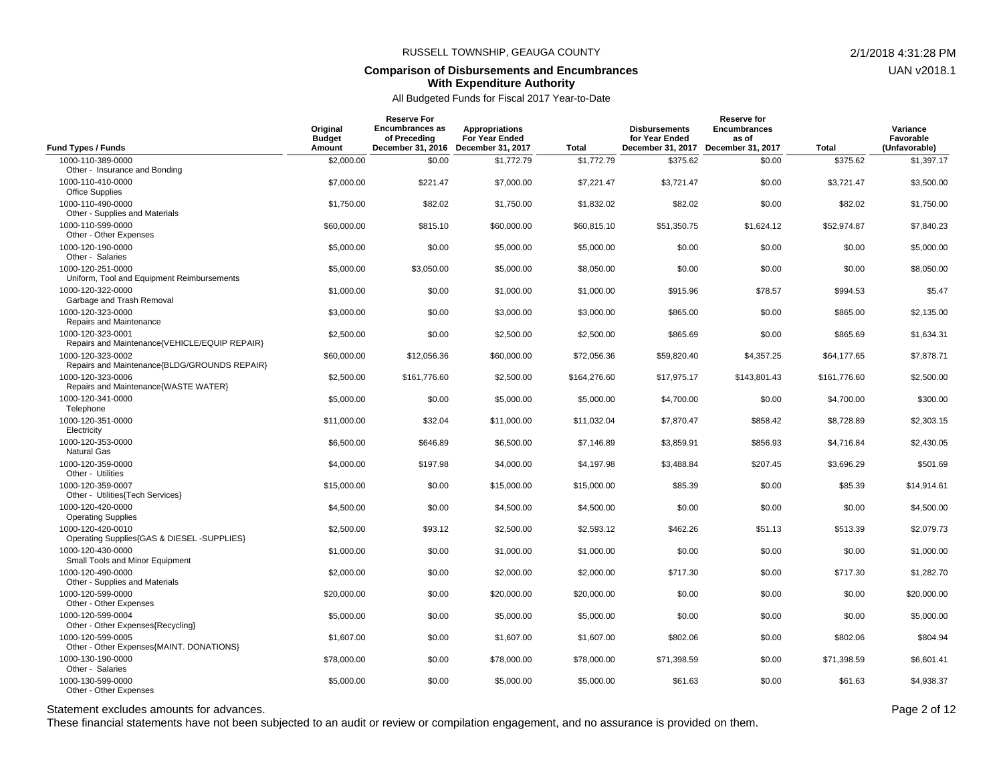#### **Comparison of Disbursements and Encumbrances With Expenditure Authority**

All Budgeted Funds for Fiscal 2017 Year-to-Date

| <b>Fund Types / Funds</b>                                                     | Original<br><b>Budget</b><br>Amount | <b>Reserve For</b><br><b>Encumbrances as</b><br>of Preceding<br>December 31, 2016 | <b>Appropriations</b><br>For Year Ended<br>December 31, 2017 | <b>Total</b> | <b>Disbursements</b><br>for Year Ended<br>December 31, 2017 | <b>Reserve for</b><br><b>Encumbrances</b><br>as of<br>December 31, 2017 | <b>Total</b> | Variance<br>Favorable<br>(Unfavorable) |
|-------------------------------------------------------------------------------|-------------------------------------|-----------------------------------------------------------------------------------|--------------------------------------------------------------|--------------|-------------------------------------------------------------|-------------------------------------------------------------------------|--------------|----------------------------------------|
| 1000-110-389-0000                                                             | \$2,000.00                          | \$0.00                                                                            | \$1,772.79                                                   | \$1,772.79   | \$375.62                                                    | \$0.00                                                                  | \$375.62     | \$1,397.17                             |
| Other - Insurance and Bonding<br>1000-110-410-0000                            | \$7,000.00                          | \$221.47                                                                          | \$7,000.00                                                   | \$7,221.47   | \$3,721.47                                                  | \$0.00                                                                  | \$3,721.47   | \$3,500.00                             |
| <b>Office Supplies</b><br>1000-110-490-0000<br>Other - Supplies and Materials | \$1,750.00                          | \$82.02                                                                           | \$1,750.00                                                   | \$1,832.02   | \$82.02                                                     | \$0.00                                                                  | \$82.02      | \$1,750.00                             |
| 1000-110-599-0000<br>Other - Other Expenses                                   | \$60,000.00                         | \$815.10                                                                          | \$60,000.00                                                  | \$60,815.10  | \$51,350.75                                                 | \$1,624.12                                                              | \$52,974.87  | \$7,840.23                             |
| 1000-120-190-0000<br>Other - Salaries                                         | \$5,000.00                          | \$0.00                                                                            | \$5,000.00                                                   | \$5,000.00   | \$0.00                                                      | \$0.00                                                                  | \$0.00       | \$5,000.00                             |
| 1000-120-251-0000<br>Uniform, Tool and Equipment Reimbursements               | \$5,000.00                          | \$3,050.00                                                                        | \$5,000.00                                                   | \$8,050.00   | \$0.00                                                      | \$0.00                                                                  | \$0.00       | \$8,050.00                             |
| 1000-120-322-0000<br>Garbage and Trash Removal                                | \$1,000.00                          | \$0.00                                                                            | \$1,000.00                                                   | \$1,000.00   | \$915.96                                                    | \$78.57                                                                 | \$994.53     | \$5.47                                 |
| 1000-120-323-0000<br>Repairs and Maintenance                                  | \$3,000.00                          | \$0.00                                                                            | \$3,000.00                                                   | \$3,000.00   | \$865.00                                                    | \$0.00                                                                  | \$865.00     | \$2,135.00                             |
| 1000-120-323-0001<br>Repairs and Maintenance{VEHICLE/EQUIP REPAIR}            | \$2,500.00                          | \$0.00                                                                            | \$2,500.00                                                   | \$2,500.00   | \$865.69                                                    | \$0.00                                                                  | \$865.69     | \$1,634.31                             |
| 1000-120-323-0002<br>Repairs and Maintenance{BLDG/GROUNDS REPAIR}             | \$60,000.00                         | \$12,056.36                                                                       | \$60,000.00                                                  | \$72,056.36  | \$59,820.40                                                 | \$4,357.25                                                              | \$64,177.65  | \$7,878.71                             |
| 1000-120-323-0006<br>Repairs and Maintenance{WASTE WATER}                     | \$2,500.00                          | \$161,776.60                                                                      | \$2,500.00                                                   | \$164,276.60 | \$17,975.17                                                 | \$143,801.43                                                            | \$161,776.60 | \$2,500.00                             |
| 1000-120-341-0000<br>Telephone                                                | \$5,000.00                          | \$0.00                                                                            | \$5,000.00                                                   | \$5,000.00   | \$4,700.00                                                  | \$0.00                                                                  | \$4,700.00   | \$300.00                               |
| 1000-120-351-0000<br>Electricity                                              | \$11,000.00                         | \$32.04                                                                           | \$11,000.00                                                  | \$11,032.04  | \$7,870.47                                                  | \$858.42                                                                | \$8,728.89   | \$2,303.15                             |
| 1000-120-353-0000<br><b>Natural Gas</b>                                       | \$6,500.00                          | \$646.89                                                                          | \$6,500.00                                                   | \$7,146.89   | \$3,859.91                                                  | \$856.93                                                                | \$4,716.84   | \$2,430.05                             |
| 1000-120-359-0000<br>Other - Utilities                                        | \$4,000.00                          | \$197.98                                                                          | \$4,000.00                                                   | \$4,197.98   | \$3,488.84                                                  | \$207.45                                                                | \$3,696.29   | \$501.69                               |
| 1000-120-359-0007<br>Other - Utilities (Tech Services)                        | \$15,000.00                         | \$0.00                                                                            | \$15,000.00                                                  | \$15,000.00  | \$85.39                                                     | \$0.00                                                                  | \$85.39      | \$14,914.61                            |
| 1000-120-420-0000<br><b>Operating Supplies</b>                                | \$4,500.00                          | \$0.00                                                                            | \$4,500.00                                                   | \$4,500.00   | \$0.00                                                      | \$0.00                                                                  | \$0.00       | \$4,500.00                             |
| 1000-120-420-0010<br>Operating Supplies{GAS & DIESEL -SUPPLIES}               | \$2,500.00                          | \$93.12                                                                           | \$2,500.00                                                   | \$2,593.12   | \$462.26                                                    | \$51.13                                                                 | \$513.39     | \$2,079.73                             |
| 1000-120-430-0000<br>Small Tools and Minor Equipment                          | \$1,000.00                          | \$0.00                                                                            | \$1,000.00                                                   | \$1,000.00   | \$0.00                                                      | \$0.00                                                                  | \$0.00       | \$1,000.00                             |
| 1000-120-490-0000<br>Other - Supplies and Materials                           | \$2,000.00                          | \$0.00                                                                            | \$2,000.00                                                   | \$2,000.00   | \$717.30                                                    | \$0.00                                                                  | \$717.30     | \$1,282.70                             |
| 1000-120-599-0000<br>Other - Other Expenses                                   | \$20,000.00                         | \$0.00                                                                            | \$20,000.00                                                  | \$20,000.00  | \$0.00                                                      | \$0.00                                                                  | \$0.00       | \$20,000.00                            |
| 1000-120-599-0004<br>Other - Other Expenses{Recycling}                        | \$5,000.00                          | \$0.00                                                                            | \$5,000.00                                                   | \$5,000.00   | \$0.00                                                      | \$0.00                                                                  | \$0.00       | \$5,000.00                             |
| 1000-120-599-0005<br>Other - Other Expenses{MAINT. DONATIONS}                 | \$1,607.00                          | \$0.00                                                                            | \$1,607.00                                                   | \$1,607.00   | \$802.06                                                    | \$0.00                                                                  | \$802.06     | \$804.94                               |
| 1000-130-190-0000<br>Other - Salaries                                         | \$78,000.00                         | \$0.00                                                                            | \$78,000.00                                                  | \$78,000.00  | \$71,398.59                                                 | \$0.00                                                                  | \$71,398.59  | \$6,601.41                             |
| 1000-130-599-0000<br>Other - Other Expenses                                   | \$5,000.00                          | \$0.00                                                                            | \$5,000.00                                                   | \$5,000.00   | \$61.63                                                     | \$0.00                                                                  | \$61.63      | \$4,938.37                             |

Statement excludes amounts for advances. The statement excludes amounts for advances.

These financial statements have not been subjected to an audit or review or compilation engagement, and no assurance is provided on them.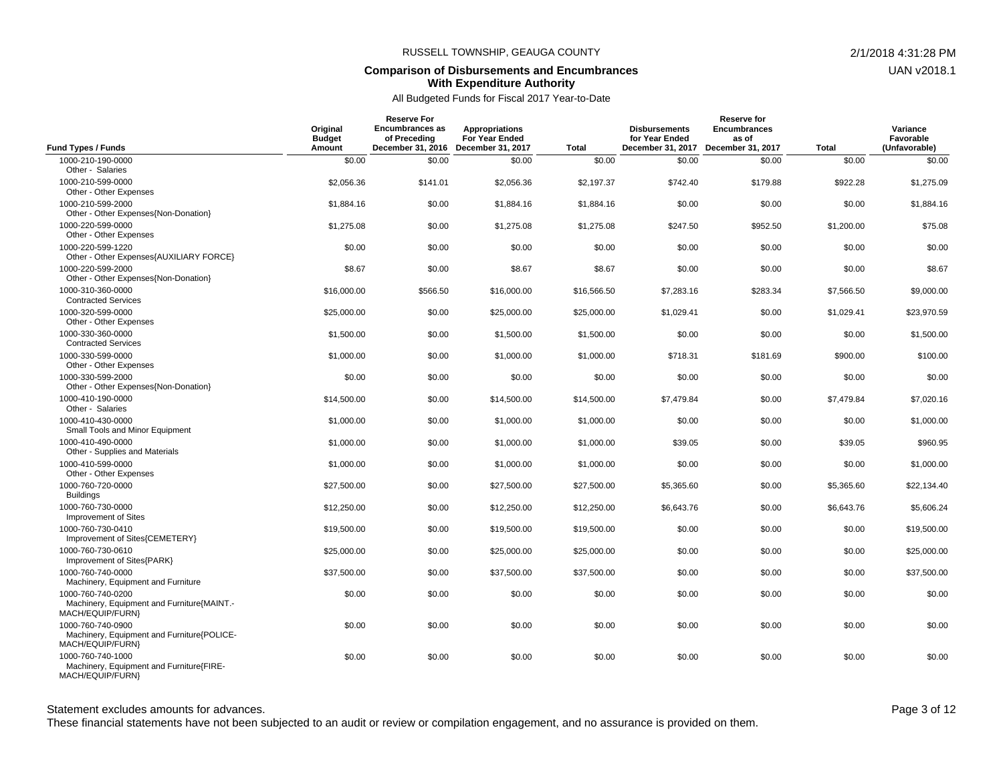#### **Comparison of Disbursements and Encumbrances With Expenditure Authority**

# All Budgeted Funds for Fiscal 2017 Year-to-Date

| Fund Types / Funds                                                                   | Original<br><b>Budget</b><br>Amount | <b>Reserve For</b><br><b>Encumbrances as</b><br>of Preceding<br>December 31, 2016 | <b>Appropriations</b><br>For Year Ended<br>December 31, 2017 | <b>Total</b> | <b>Disbursements</b><br>for Year Ended<br>December 31, 2017 | <b>Reserve for</b><br><b>Encumbrances</b><br>as of<br>December 31, 2017 | <b>Total</b>         | Variance<br>Favorable<br>(Unfavorable) |
|--------------------------------------------------------------------------------------|-------------------------------------|-----------------------------------------------------------------------------------|--------------------------------------------------------------|--------------|-------------------------------------------------------------|-------------------------------------------------------------------------|----------------------|----------------------------------------|
| 1000-210-190-0000                                                                    | \$0.00                              | \$0.00                                                                            | \$0.00                                                       | \$0.00       | \$0.00                                                      | \$0.00                                                                  | \$0.00               | \$0.00                                 |
| Other - Salaries                                                                     |                                     |                                                                                   |                                                              |              |                                                             |                                                                         |                      |                                        |
| 1000-210-599-0000<br>Other - Other Expenses                                          | \$2,056.36                          | \$141.01                                                                          | \$2,056.36                                                   | \$2,197.37   | \$742.40                                                    | \$179.88                                                                | \$922.28             | \$1,275.09                             |
| 1000-210-599-2000<br>Other - Other Expenses{Non-Donation}                            | \$1,884.16                          | \$0.00                                                                            | \$1,884.16                                                   | \$1,884.16   | \$0.00                                                      | \$0.00                                                                  | \$0.00               | \$1,884.16                             |
| 1000-220-599-0000<br>Other - Other Expenses                                          | \$1,275.08                          | \$0.00                                                                            | \$1.275.08                                                   | \$1,275.08   | \$247.50                                                    | \$952.50                                                                | \$1,200.00           | \$75.08                                |
| 1000-220-599-1220<br>Other - Other Expenses{AUXILIARY FORCE}                         | \$0.00                              | \$0.00                                                                            | \$0.00                                                       | \$0.00       | \$0.00                                                      | \$0.00                                                                  | \$0.00               | \$0.00                                 |
| 1000-220-599-2000<br>Other - Other Expenses{Non-Donation}                            | \$8.67                              | \$0.00                                                                            | \$8.67                                                       | \$8.67       | \$0.00                                                      | \$0.00                                                                  | \$0.00               | \$8.67                                 |
| 1000-310-360-0000<br><b>Contracted Services</b>                                      | \$16,000.00                         | \$566.50                                                                          | \$16,000.00                                                  | \$16,566.50  | \$7,283.16                                                  | \$283.34                                                                | \$7,566.50           | \$9,000.00                             |
| 1000-320-599-0000<br>Other - Other Expenses                                          | \$25,000.00                         | \$0.00                                                                            | \$25,000.00                                                  | \$25,000.00  | \$1,029.41                                                  | \$0.00                                                                  | \$1,029.41           | \$23,970.59                            |
| 1000-330-360-0000<br><b>Contracted Services</b>                                      | \$1,500.00                          | \$0.00                                                                            | \$1,500.00                                                   | \$1,500.00   | \$0.00                                                      | \$0.00                                                                  | \$0.00               | \$1,500.00                             |
| 1000-330-599-0000<br>Other - Other Expenses                                          | \$1,000.00                          | \$0.00                                                                            | \$1,000.00                                                   | \$1,000.00   | \$718.31                                                    | \$181.69                                                                | \$900.00             | \$100.00                               |
| 1000-330-599-2000<br>Other - Other Expenses{Non-Donation}<br>1000-410-190-0000       | \$0.00                              | \$0.00                                                                            | \$0.00                                                       | \$0.00       | \$0.00<br>\$7.479.84                                        | \$0.00<br>\$0.00                                                        | \$0.00<br>\$7,479.84 | \$0.00<br>\$7,020.16                   |
| Other - Salaries                                                                     | \$14,500.00                         | \$0.00                                                                            | \$14,500.00                                                  | \$14,500.00  |                                                             |                                                                         |                      |                                        |
| 1000-410-430-0000<br>Small Tools and Minor Equipment                                 | \$1,000.00                          | \$0.00                                                                            | \$1,000.00                                                   | \$1,000.00   | \$0.00                                                      | \$0.00                                                                  | \$0.00               | \$1,000.00                             |
| 1000-410-490-0000<br>Other - Supplies and Materials                                  | \$1,000.00                          | \$0.00                                                                            | \$1,000.00                                                   | \$1,000.00   | \$39.05                                                     | \$0.00                                                                  | \$39.05              | \$960.95                               |
| 1000-410-599-0000<br>Other - Other Expenses                                          | \$1,000.00                          | \$0.00                                                                            | \$1,000.00                                                   | \$1,000.00   | \$0.00                                                      | \$0.00                                                                  | \$0.00               | \$1,000.00                             |
| 1000-760-720-0000<br><b>Buildings</b>                                                | \$27,500.00                         | \$0.00                                                                            | \$27,500.00                                                  | \$27,500.00  | \$5,365.60                                                  | \$0.00                                                                  | \$5,365.60           | \$22,134.40                            |
| 1000-760-730-0000<br>Improvement of Sites                                            | \$12,250.00                         | \$0.00                                                                            | \$12,250.00                                                  | \$12,250.00  | \$6,643.76                                                  | \$0.00                                                                  | \$6,643.76           | \$5,606.24                             |
| 1000-760-730-0410<br>Improvement of Sites{CEMETERY}                                  | \$19,500.00                         | \$0.00                                                                            | \$19,500.00                                                  | \$19,500.00  | \$0.00                                                      | \$0.00                                                                  | \$0.00               | \$19,500.00                            |
| 1000-760-730-0610<br>Improvement of Sites{PARK}                                      | \$25,000.00                         | \$0.00                                                                            | \$25,000.00                                                  | \$25,000.00  | \$0.00                                                      | \$0.00                                                                  | \$0.00               | \$25,000.00                            |
| 1000-760-740-0000<br>Machinery, Equipment and Furniture                              | \$37.500.00                         | \$0.00                                                                            | \$37.500.00                                                  | \$37,500.00  | \$0.00                                                      | \$0.00                                                                  | \$0.00               | \$37,500.00                            |
| 1000-760-740-0200<br>Machinery, Equipment and Furniture {MAINT.-<br>MACH/EQUIP/FURN} | \$0.00                              | \$0.00                                                                            | \$0.00                                                       | \$0.00       | \$0.00                                                      | \$0.00                                                                  | \$0.00               | \$0.00                                 |
| 1000-760-740-0900<br>Machinery, Equipment and Furniture {POLICE-<br>MACH/EQUIP/FURN} | \$0.00                              | \$0.00                                                                            | \$0.00                                                       | \$0.00       | \$0.00                                                      | \$0.00                                                                  | \$0.00               | \$0.00                                 |
| 1000-760-740-1000<br>Machinery, Equipment and Furniture{FIRE-<br>MACH/EQUIP/FURN}    | \$0.00                              | \$0.00                                                                            | \$0.00                                                       | \$0.00       | \$0.00                                                      | \$0.00                                                                  | \$0.00               | \$0.00                                 |

Statement excludes amounts for advances. The statement excludes amounts for advances.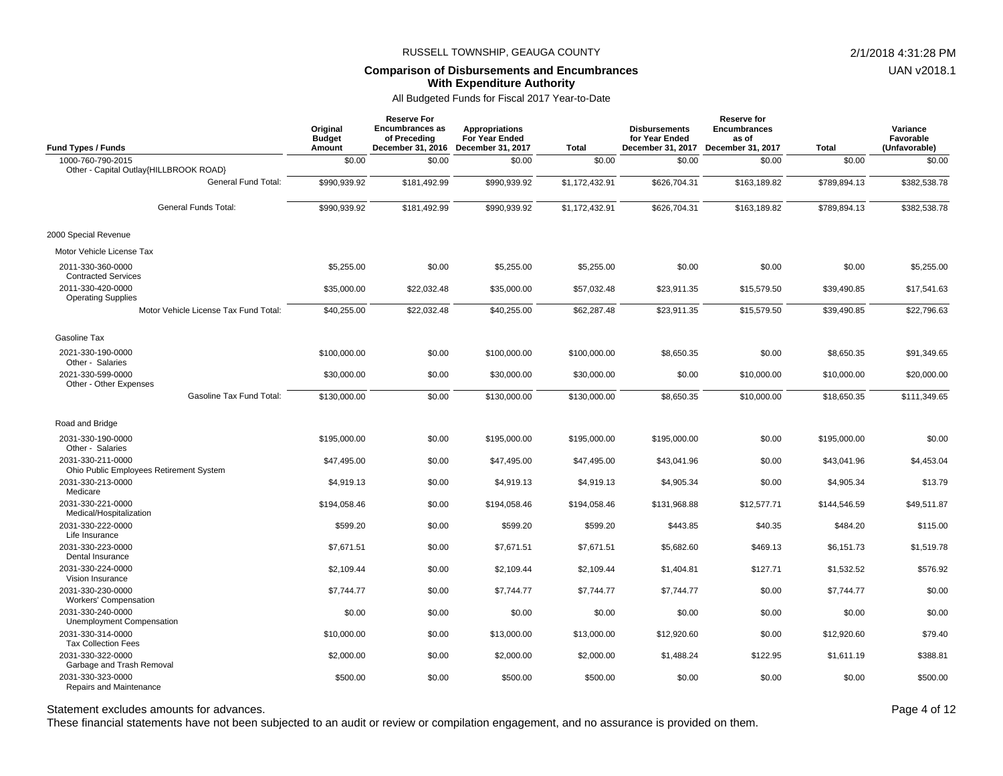### **Comparison of Disbursements and Encumbrances With Expenditure Authority**

# All Budgeted Funds for Fiscal 2017 Year-to-Date

| <b>Fund Types / Funds</b>                                            | Original<br><b>Budget</b><br>Amount | Reserve For<br><b>Encumbrances as</b><br>of Preceding<br>December 31, 2016 | <b>Appropriations</b><br>For Year Ended<br>December 31, 2017 | <b>Total</b>   | <b>Disbursements</b><br>for Year Ended<br>December 31, 2017 | Reserve for<br><b>Encumbrances</b><br>as of<br>December 31, 2017 | <b>Total</b> | Variance<br>Favorable<br>(Unfavorable) |
|----------------------------------------------------------------------|-------------------------------------|----------------------------------------------------------------------------|--------------------------------------------------------------|----------------|-------------------------------------------------------------|------------------------------------------------------------------|--------------|----------------------------------------|
| 1000-760-790-2015                                                    | \$0.00                              | \$0.00                                                                     | \$0.00                                                       | \$0.00         | \$0.00                                                      | \$0.00                                                           | \$0.00       | \$0.00                                 |
| Other - Capital Outlay{HILLBROOK ROAD}<br><b>General Fund Total:</b> | \$990,939.92                        | \$181,492.99                                                               | \$990.939.92                                                 | \$1,172,432.91 | \$626,704.31                                                | \$163.189.82                                                     | \$789,894.13 | \$382,538.78                           |
| <b>General Funds Total:</b>                                          | \$990,939.92                        | \$181,492.99                                                               | \$990,939.92                                                 | \$1,172,432.91 | \$626,704.31                                                | \$163,189.82                                                     | \$789,894.13 | \$382,538.78                           |
| 2000 Special Revenue                                                 |                                     |                                                                            |                                                              |                |                                                             |                                                                  |              |                                        |
| Motor Vehicle License Tax                                            |                                     |                                                                            |                                                              |                |                                                             |                                                                  |              |                                        |
| 2011-330-360-0000<br><b>Contracted Services</b>                      | \$5,255.00                          | \$0.00                                                                     | \$5,255.00                                                   | \$5,255.00     | \$0.00                                                      | \$0.00                                                           | \$0.00       | \$5,255.00                             |
| 2011-330-420-0000<br><b>Operating Supplies</b>                       | \$35,000.00                         | \$22,032.48                                                                | \$35,000.00                                                  | \$57,032.48    | \$23,911.35                                                 | \$15,579.50                                                      | \$39,490.85  | \$17,541.63                            |
| Motor Vehicle License Tax Fund Total:                                | \$40,255.00                         | \$22,032.48                                                                | \$40,255.00                                                  | \$62,287.48    | \$23,911.35                                                 | \$15,579.50                                                      | \$39,490.85  | \$22,796.63                            |
| Gasoline Tax                                                         |                                     |                                                                            |                                                              |                |                                                             |                                                                  |              |                                        |
| 2021-330-190-0000<br>Other - Salaries                                | \$100,000.00                        | \$0.00                                                                     | \$100,000.00                                                 | \$100,000.00   | \$8,650.35                                                  | \$0.00                                                           | \$8,650.35   | \$91,349.65                            |
| 2021-330-599-0000<br>Other - Other Expenses                          | \$30,000.00                         | \$0.00                                                                     | \$30,000.00                                                  | \$30,000.00    | \$0.00                                                      | \$10,000.00                                                      | \$10,000.00  | \$20,000.00                            |
| Gasoline Tax Fund Total:                                             | \$130,000.00                        | \$0.00                                                                     | \$130,000.00                                                 | \$130,000.00   | \$8,650.35                                                  | \$10,000.00                                                      | \$18,650.35  | \$111,349.65                           |
| Road and Bridge                                                      |                                     |                                                                            |                                                              |                |                                                             |                                                                  |              |                                        |
| 2031-330-190-0000<br>Other - Salaries                                | \$195,000.00                        | \$0.00                                                                     | \$195,000.00                                                 | \$195,000.00   | \$195,000.00                                                | \$0.00                                                           | \$195,000.00 | \$0.00                                 |
| 2031-330-211-0000<br>Ohio Public Employees Retirement System         | \$47,495.00                         | \$0.00                                                                     | \$47,495.00                                                  | \$47,495.00    | \$43,041.96                                                 | \$0.00                                                           | \$43,041.96  | \$4,453.04                             |
| 2031-330-213-0000<br>Medicare                                        | \$4,919.13                          | \$0.00                                                                     | \$4,919.13                                                   | \$4,919.13     | \$4,905.34                                                  | \$0.00                                                           | \$4,905.34   | \$13.79                                |
| 2031-330-221-0000<br>Medical/Hospitalization                         | \$194,058.46                        | \$0.00                                                                     | \$194,058.46                                                 | \$194,058.46   | \$131,968.88                                                | \$12,577.71                                                      | \$144,546.59 | \$49,511.87                            |
| 2031-330-222-0000<br>Life Insurance                                  | \$599.20                            | \$0.00                                                                     | \$599.20                                                     | \$599.20       | \$443.85                                                    | \$40.35                                                          | \$484.20     | \$115.00                               |
| 2031-330-223-0000<br>Dental Insurance                                | \$7,671.51                          | \$0.00                                                                     | \$7,671.51                                                   | \$7,671.51     | \$5,682.60                                                  | \$469.13                                                         | \$6,151.73   | \$1,519.78                             |
| 2031-330-224-0000<br>Vision Insurance                                | \$2.109.44                          | \$0.00                                                                     | \$2,109.44                                                   | \$2,109.44     | \$1.404.81                                                  | \$127.71                                                         | \$1,532.52   | \$576.92                               |
| 2031-330-230-0000<br>Workers' Compensation                           | \$7,744.77                          | \$0.00                                                                     | \$7,744.77                                                   | \$7,744.77     | \$7,744.77                                                  | \$0.00                                                           | \$7,744.77   | \$0.00                                 |
| 2031-330-240-0000<br>Unemployment Compensation                       | \$0.00                              | \$0.00                                                                     | \$0.00                                                       | \$0.00         | \$0.00                                                      | \$0.00                                                           | \$0.00       | \$0.00                                 |
| 2031-330-314-0000<br><b>Tax Collection Fees</b>                      | \$10,000.00                         | \$0.00                                                                     | \$13,000.00                                                  | \$13,000.00    | \$12,920.60                                                 | \$0.00                                                           | \$12,920.60  | \$79.40                                |
| 2031-330-322-0000<br>Garbage and Trash Removal                       | \$2,000.00                          | \$0.00                                                                     | \$2,000.00                                                   | \$2,000.00     | \$1,488.24                                                  | \$122.95                                                         | \$1,611.19   | \$388.81                               |
| 2031-330-323-0000<br>Repairs and Maintenance                         | \$500.00                            | \$0.00                                                                     | \$500.00                                                     | \$500.00       | \$0.00                                                      | \$0.00                                                           | \$0.00       | \$500.00                               |

Statement excludes amounts for advances. The statement excludes amounts for advances.

These financial statements have not been subjected to an audit or review or compilation engagement, and no assurance is provided on them.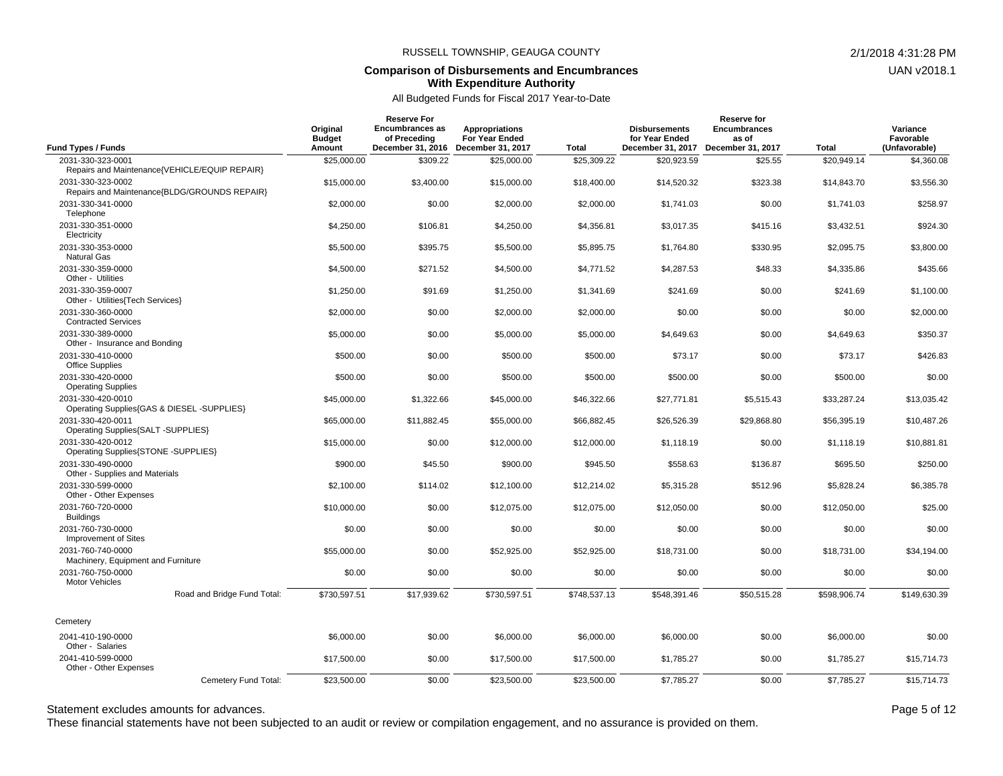#### **Comparison of Disbursements and Encumbrances With Expenditure Authority**

All Budgeted Funds for Fiscal 2017 Year-to-Date

|                                                                    | Original<br><b>Budget</b> | <b>Reserve For</b><br><b>Encumbrances as</b><br>of Preceding | <b>Appropriations</b><br>For Year Ended |              | <b>Disbursements</b><br>for Year Ended | Reserve for<br><b>Encumbrances</b><br>as of |              | Variance<br>Favorable |
|--------------------------------------------------------------------|---------------------------|--------------------------------------------------------------|-----------------------------------------|--------------|----------------------------------------|---------------------------------------------|--------------|-----------------------|
| Fund Types / Funds                                                 | Amount                    | December 31, 2016                                            | December 31, 2017                       | <b>Total</b> | December 31, 2017                      | December 31, 2017                           | <b>Total</b> | (Unfavorable)         |
| 2031-330-323-0001<br>Repairs and Maintenance{VEHICLE/EQUIP REPAIR} | \$25,000.00               | \$309.22                                                     | \$25,000.00                             | \$25,309.22  | \$20,923.59                            | \$25.55                                     | \$20,949.14  | \$4,360.08            |
| 2031-330-323-0002<br>Repairs and Maintenance{BLDG/GROUNDS REPAIR}  | \$15,000.00               | \$3,400.00                                                   | \$15,000.00                             | \$18,400.00  | \$14,520.32                            | \$323.38                                    | \$14,843.70  | \$3.556.30            |
| 2031-330-341-0000<br>Telephone                                     | \$2,000.00                | \$0.00                                                       | \$2,000.00                              | \$2,000.00   | \$1.741.03                             | \$0.00                                      | \$1,741.03   | \$258.97              |
| 2031-330-351-0000<br>Electricity                                   | \$4,250.00                | \$106.81                                                     | \$4,250.00                              | \$4,356.81   | \$3,017.35                             | \$415.16                                    | \$3,432.51   | \$924.30              |
| 2031-330-353-0000<br><b>Natural Gas</b>                            | \$5,500.00                | \$395.75                                                     | \$5,500.00                              | \$5,895.75   | \$1.764.80                             | \$330.95                                    | \$2.095.75   | \$3.800.00            |
| 2031-330-359-0000<br>Other - Utilities                             | \$4,500.00                | \$271.52                                                     | \$4,500.00                              | \$4,771.52   | \$4,287.53                             | \$48.33                                     | \$4,335.86   | \$435.66              |
| 2031-330-359-0007<br>Other - Utilities (Tech Services)             | \$1,250.00                | \$91.69                                                      | \$1,250.00                              | \$1,341.69   | \$241.69                               | \$0.00                                      | \$241.69     | \$1,100.00            |
| 2031-330-360-0000<br><b>Contracted Services</b>                    | \$2,000.00                | \$0.00                                                       | \$2,000.00                              | \$2,000.00   | \$0.00                                 | \$0.00                                      | \$0.00       | \$2,000.00            |
| 2031-330-389-0000<br>Other - Insurance and Bonding                 | \$5,000.00                | \$0.00                                                       | \$5,000.00                              | \$5,000.00   | \$4,649.63                             | \$0.00                                      | \$4,649.63   | \$350.37              |
| 2031-330-410-0000<br><b>Office Supplies</b>                        | \$500.00                  | \$0.00                                                       | \$500.00                                | \$500.00     | \$73.17                                | \$0.00                                      | \$73.17      | \$426.83              |
| 2031-330-420-0000<br><b>Operating Supplies</b>                     | \$500.00                  | \$0.00                                                       | \$500.00                                | \$500.00     | \$500.00                               | \$0.00                                      | \$500.00     | \$0.00                |
| 2031-330-420-0010<br>Operating Supplies{GAS & DIESEL -SUPPLIES}    | \$45,000.00               | \$1,322.66                                                   | \$45,000.00                             | \$46,322.66  | \$27,771.81                            | \$5,515.43                                  | \$33,287.24  | \$13,035.42           |
| 2031-330-420-0011<br>Operating Supplies{SALT -SUPPLIES}            | \$65,000.00               | \$11,882.45                                                  | \$55,000.00                             | \$66,882.45  | \$26,526.39                            | \$29,868.80                                 | \$56,395.19  | \$10,487.26           |
| 2031-330-420-0012<br>Operating Supplies{STONE -SUPPLIES}           | \$15,000.00               | \$0.00                                                       | \$12,000.00                             | \$12,000.00  | \$1,118.19                             | \$0.00                                      | \$1,118.19   | \$10,881.81           |
| 2031-330-490-0000<br>Other - Supplies and Materials                | \$900.00                  | \$45.50                                                      | \$900.00                                | \$945.50     | \$558.63                               | \$136.87                                    | \$695.50     | \$250.00              |
| 2031-330-599-0000<br>Other - Other Expenses                        | \$2,100.00                | \$114.02                                                     | \$12,100.00                             | \$12,214.02  | \$5,315.28                             | \$512.96                                    | \$5,828.24   | \$6,385.78            |
| 2031-760-720-0000<br><b>Buildings</b>                              | \$10,000.00               | \$0.00                                                       | \$12,075.00                             | \$12,075.00  | \$12,050.00                            | \$0.00                                      | \$12,050.00  | \$25.00               |
| 2031-760-730-0000<br>Improvement of Sites                          | \$0.00                    | \$0.00                                                       | \$0.00                                  | \$0.00       | \$0.00                                 | \$0.00                                      | \$0.00       | \$0.00                |
| 2031-760-740-0000<br>Machinery, Equipment and Furniture            | \$55,000.00               | \$0.00                                                       | \$52,925.00                             | \$52,925.00  | \$18,731.00                            | \$0.00                                      | \$18,731.00  | \$34,194.00           |
| 2031-760-750-0000<br><b>Motor Vehicles</b>                         | \$0.00                    | \$0.00                                                       | \$0.00                                  | \$0.00       | \$0.00                                 | \$0.00                                      | \$0.00       | \$0.00                |
| Road and Bridge Fund Total:                                        | \$730,597.51              | \$17,939.62                                                  | \$730,597.51                            | \$748,537.13 | \$548,391.46                           | \$50,515.28                                 | \$598,906.74 | \$149,630.39          |
| Cemetery                                                           |                           |                                                              |                                         |              |                                        |                                             |              |                       |
| 2041-410-190-0000<br>Other - Salaries                              | \$6,000.00                | \$0.00                                                       | \$6,000.00                              | \$6,000.00   | \$6,000.00                             | \$0.00                                      | \$6.000.00   | \$0.00                |
| 2041-410-599-0000<br>Other - Other Expenses                        | \$17,500.00               | \$0.00                                                       | \$17,500.00                             | \$17,500.00  | \$1,785.27                             | \$0.00                                      | \$1,785.27   | \$15,714.73           |
| Cemetery Fund Total:                                               | \$23,500.00               | \$0.00                                                       | \$23,500.00                             | \$23,500.00  | \$7,785.27                             | \$0.00                                      | \$7,785.27   | \$15,714.73           |

Statement excludes amounts for advances. The statement excludes amounts for advances.

These financial statements have not been subjected to an audit or review or compilation engagement, and no assurance is provided on them.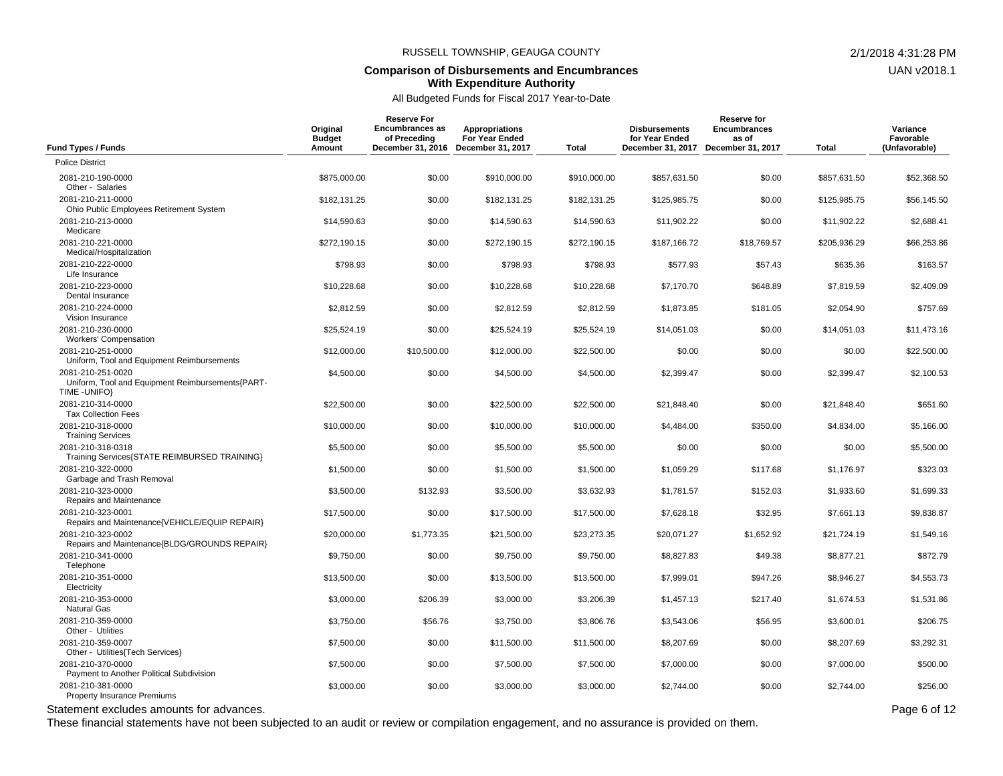#### **Comparison of Disbursements and Encumbrances With Expenditure Authority**

All Budgeted Funds for Fiscal 2017 Year-to-Date

| <b>Fund Types / Funds</b>                                                              | Original<br><b>Budget</b><br>Amount | <b>Reserve For</b><br><b>Encumbrances as</b><br>of Preceding<br>December 31, 2016 | <b>Appropriations</b><br>For Year Ended<br>December 31, 2017 | Total        | <b>Disbursements</b><br>for Year Ended<br>December 31, 2017 December 31, 2017 | <b>Reserve for</b><br><b>Encumbrances</b><br>as of | Total        | Variance<br>Favorable<br>(Unfavorable) |
|----------------------------------------------------------------------------------------|-------------------------------------|-----------------------------------------------------------------------------------|--------------------------------------------------------------|--------------|-------------------------------------------------------------------------------|----------------------------------------------------|--------------|----------------------------------------|
| <b>Police District</b>                                                                 |                                     |                                                                                   |                                                              |              |                                                                               |                                                    |              |                                        |
| 2081-210-190-0000<br>Other - Salaries                                                  | \$875,000.00                        | \$0.00                                                                            | \$910,000.00                                                 | \$910,000.00 | \$857,631.50                                                                  | \$0.00                                             | \$857,631.50 | \$52,368.50                            |
| 2081-210-211-0000<br>Ohio Public Employees Retirement System                           | \$182,131.25                        | \$0.00                                                                            | \$182,131.25                                                 | \$182,131.25 | \$125,985.75                                                                  | \$0.00                                             | \$125,985.75 | \$56,145.50                            |
| 2081-210-213-0000<br>Medicare                                                          | \$14,590.63                         | \$0.00                                                                            | \$14,590.63                                                  | \$14,590.63  | \$11,902.22                                                                   | \$0.00                                             | \$11,902.22  | \$2,688.41                             |
| 2081-210-221-0000<br>Medical/Hospitalization                                           | \$272.190.15                        | \$0.00                                                                            | \$272.190.15                                                 | \$272,190.15 | \$187,166.72                                                                  | \$18,769.57                                        | \$205,936.29 | \$66,253.86                            |
| 2081-210-222-0000<br>Life Insurance                                                    | \$798.93                            | \$0.00                                                                            | \$798.93                                                     | \$798.93     | \$577.93                                                                      | \$57.43                                            | \$635.36     | \$163.57                               |
| 2081-210-223-0000<br>Dental Insurance                                                  | \$10,228.68                         | \$0.00                                                                            | \$10,228.68                                                  | \$10,228.68  | \$7.170.70                                                                    | \$648.89                                           | \$7.819.59   | \$2,409.09                             |
| 2081-210-224-0000<br>Vision Insurance                                                  | \$2,812.59                          | \$0.00                                                                            | \$2,812.59                                                   | \$2,812.59   | \$1,873.85                                                                    | \$181.05                                           | \$2,054.90   | \$757.69                               |
| 2081-210-230-0000<br><b>Workers' Compensation</b>                                      | \$25,524.19                         | \$0.00                                                                            | \$25,524.19                                                  | \$25,524.19  | \$14,051.03                                                                   | \$0.00                                             | \$14,051.03  | \$11,473.16                            |
| 2081-210-251-0000<br>Uniform, Tool and Equipment Reimbursements                        | \$12,000.00                         | \$10,500.00                                                                       | \$12,000.00                                                  | \$22,500.00  | \$0.00                                                                        | \$0.00                                             | \$0.00       | \$22,500.00                            |
| 2081-210-251-0020<br>Uniform, Tool and Equipment Reimbursements{PART-<br>TIME - UNIFO} | \$4,500.00                          | \$0.00                                                                            | \$4,500.00                                                   | \$4,500.00   | \$2,399.47                                                                    | \$0.00                                             | \$2,399.47   | \$2,100.53                             |
| 2081-210-314-0000<br><b>Tax Collection Fees</b>                                        | \$22,500.00                         | \$0.00                                                                            | \$22,500.00                                                  | \$22,500.00  | \$21,848.40                                                                   | \$0.00                                             | \$21,848.40  | \$651.60                               |
| 2081-210-318-0000<br><b>Training Services</b>                                          | \$10,000.00                         | \$0.00                                                                            | \$10,000.00                                                  | \$10,000.00  | \$4,484.00                                                                    | \$350.00                                           | \$4,834.00   | \$5,166.00                             |
| 2081-210-318-0318<br>Training Services{STATE REIMBURSED TRAINING}                      | \$5,500.00                          | \$0.00                                                                            | \$5,500.00                                                   | \$5,500.00   | \$0.00                                                                        | \$0.00                                             | \$0.00       | \$5,500.00                             |
| 2081-210-322-0000<br>Garbage and Trash Removal                                         | \$1,500.00                          | \$0.00                                                                            | \$1,500.00                                                   | \$1,500.00   | \$1,059.29                                                                    | \$117.68                                           | \$1,176.97   | \$323.03                               |
| 2081-210-323-0000<br>Repairs and Maintenance                                           | \$3,500.00                          | \$132.93                                                                          | \$3,500.00                                                   | \$3,632.93   | \$1,781.57                                                                    | \$152.03                                           | \$1,933.60   | \$1,699.33                             |
| 2081-210-323-0001<br>Repairs and Maintenance{VEHICLE/EQUIP REPAIR}                     | \$17,500.00                         | \$0.00                                                                            | \$17,500.00                                                  | \$17,500.00  | \$7,628.18                                                                    | \$32.95                                            | \$7,661.13   | \$9,838.87                             |
| 2081-210-323-0002<br>Repairs and Maintenance{BLDG/GROUNDS REPAIR}                      | \$20,000.00                         | \$1,773.35                                                                        | \$21,500.00                                                  | \$23,273.35  | \$20,071.27                                                                   | \$1,652.92                                         | \$21,724.19  | \$1,549.16                             |
| 2081-210-341-0000<br>Telephone                                                         | \$9,750.00                          | \$0.00                                                                            | \$9,750.00                                                   | \$9,750.00   | \$8,827.83                                                                    | \$49.38                                            | \$8,877.21   | \$872.79                               |
| 2081-210-351-0000<br>Electricity                                                       | \$13,500.00                         | \$0.00                                                                            | \$13,500.00                                                  | \$13,500.00  | \$7,999.01                                                                    | \$947.26                                           | \$8,946.27   | \$4,553.73                             |
| 2081-210-353-0000<br><b>Natural Gas</b>                                                | \$3,000.00                          | \$206.39                                                                          | \$3,000.00                                                   | \$3,206.39   | \$1,457.13                                                                    | \$217.40                                           | \$1,674.53   | \$1,531.86                             |
| 2081-210-359-0000<br>Other - Utilities                                                 | \$3,750.00                          | \$56.76                                                                           | \$3,750.00                                                   | \$3,806.76   | \$3,543.06                                                                    | \$56.95                                            | \$3,600.01   | \$206.75                               |
| 2081-210-359-0007<br>Other - Utilities {Tech Services}                                 | \$7,500.00                          | \$0.00                                                                            | \$11,500.00                                                  | \$11,500.00  | \$8,207.69                                                                    | \$0.00                                             | \$8,207.69   | \$3,292.31                             |
| 2081-210-370-0000<br>Payment to Another Political Subdivision                          | \$7,500.00                          | \$0.00                                                                            | \$7,500.00                                                   | \$7,500.00   | \$7,000.00                                                                    | \$0.00                                             | \$7,000.00   | \$500.00                               |
| 2081-210-381-0000<br><b>Property Insurance Premiums</b>                                | \$3,000.00                          | \$0.00                                                                            | \$3,000.00                                                   | \$3,000.00   | \$2,744.00                                                                    | \$0.00                                             | \$2,744.00   | \$256.00                               |

Statement excludes amounts for advances. The statement excludes amounts for advances.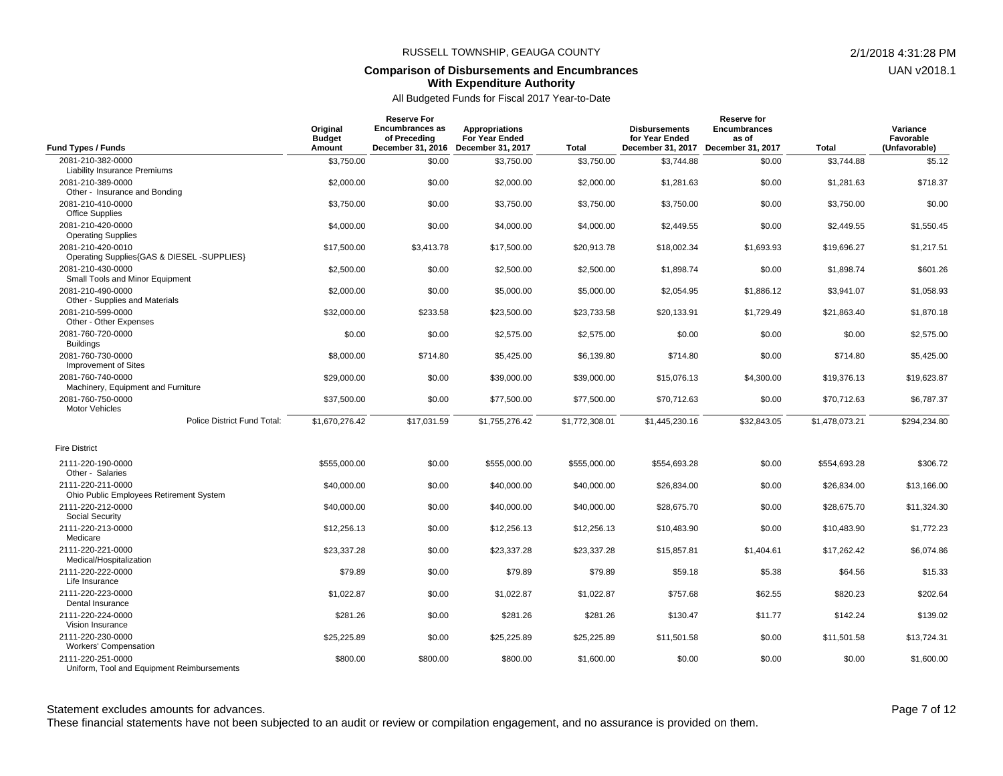#### **Comparison of Disbursements and Encumbrances With Expenditure Authority**

All Budgeted Funds for Fiscal 2017 Year-to-Date

| <b>Fund Types / Funds</b>                                                                 | Original<br><b>Budget</b><br>Amount | <b>Reserve For</b><br><b>Encumbrances as</b><br>of Preceding | <b>Appropriations</b><br><b>For Year Ended</b><br>December 31, 2016 December 31, 2017 | <b>Total</b>   | <b>Disbursements</b><br>for Year Ended<br>December 31, 2017 | Reserve for<br><b>Encumbrances</b><br>as of<br>December 31, 2017 | <b>Total</b>   | Variance<br>Favorable<br>(Unfavorable) |
|-------------------------------------------------------------------------------------------|-------------------------------------|--------------------------------------------------------------|---------------------------------------------------------------------------------------|----------------|-------------------------------------------------------------|------------------------------------------------------------------|----------------|----------------------------------------|
| 2081-210-382-0000                                                                         | \$3,750.00                          | \$0.00                                                       | \$3,750.00                                                                            | \$3,750.00     | \$3,744.88                                                  | \$0.00                                                           | \$3.744.88     | \$5.12                                 |
| <b>Liability Insurance Premiums</b><br>2081-210-389-0000<br>Other - Insurance and Bonding | \$2,000.00                          | \$0.00                                                       | \$2,000.00                                                                            | \$2,000.00     | \$1,281.63                                                  | \$0.00                                                           | \$1,281.63     | \$718.37                               |
| 2081-210-410-0000<br><b>Office Supplies</b>                                               | \$3,750.00                          | \$0.00                                                       | \$3,750.00                                                                            | \$3,750.00     | \$3,750.00                                                  | \$0.00                                                           | \$3,750.00     | \$0.00                                 |
| 2081-210-420-0000<br><b>Operating Supplies</b>                                            | \$4,000.00                          | \$0.00                                                       | \$4,000.00                                                                            | \$4,000.00     | \$2,449.55                                                  | \$0.00                                                           | \$2,449.55     | \$1,550.45                             |
| 2081-210-420-0010<br>Operating Supplies{GAS & DIESEL -SUPPLIES}                           | \$17,500.00                         | \$3,413.78                                                   | \$17,500.00                                                                           | \$20,913.78    | \$18,002.34                                                 | \$1,693.93                                                       | \$19,696.27    | \$1,217.51                             |
| 2081-210-430-0000<br>Small Tools and Minor Equipment                                      | \$2,500.00                          | \$0.00                                                       | \$2,500.00                                                                            | \$2,500.00     | \$1,898.74                                                  | \$0.00                                                           | \$1,898.74     | \$601.26                               |
| 2081-210-490-0000<br>Other - Supplies and Materials                                       | \$2,000.00                          | \$0.00                                                       | \$5,000.00                                                                            | \$5,000.00     | \$2,054.95                                                  | \$1,886.12                                                       | \$3,941.07     | \$1,058.93                             |
| 2081-210-599-0000<br>Other - Other Expenses                                               | \$32,000.00                         | \$233.58                                                     | \$23,500.00                                                                           | \$23,733.58    | \$20,133.91                                                 | \$1,729.49                                                       | \$21.863.40    | \$1,870.18                             |
| 2081-760-720-0000<br><b>Buildings</b>                                                     | \$0.00                              | \$0.00                                                       | \$2,575.00                                                                            | \$2,575.00     | \$0.00                                                      | \$0.00                                                           | \$0.00         | \$2,575.00                             |
| 2081-760-730-0000<br>Improvement of Sites                                                 | \$8,000.00                          | \$714.80                                                     | \$5,425.00                                                                            | \$6,139.80     | \$714.80                                                    | \$0.00                                                           | \$714.80       | \$5,425.00                             |
| 2081-760-740-0000<br>Machinery, Equipment and Furniture                                   | \$29,000.00                         | \$0.00                                                       | \$39,000.00                                                                           | \$39,000.00    | \$15,076.13                                                 | \$4,300.00                                                       | \$19,376.13    | \$19,623.87                            |
| 2081-760-750-0000<br><b>Motor Vehicles</b>                                                | \$37,500.00                         | \$0.00                                                       | \$77,500.00                                                                           | \$77,500.00    | \$70,712.63                                                 | \$0.00                                                           | \$70,712.63    | \$6,787.37                             |
| Police District Fund Total:                                                               | \$1,670,276.42                      | \$17,031.59                                                  | \$1,755,276.42                                                                        | \$1,772,308.01 | \$1,445,230.16                                              | \$32,843.05                                                      | \$1,478,073.21 | \$294,234.80                           |
| <b>Fire District</b>                                                                      |                                     |                                                              |                                                                                       |                |                                                             |                                                                  |                |                                        |
| 2111-220-190-0000<br>Other - Salaries                                                     | \$555.000.00                        | \$0.00                                                       | \$555,000.00                                                                          | \$555,000.00   | \$554,693.28                                                | \$0.00                                                           | \$554.693.28   | \$306.72                               |
| 2111-220-211-0000<br>Ohio Public Employees Retirement System                              | \$40,000.00                         | \$0.00                                                       | \$40,000.00                                                                           | \$40,000.00    | \$26,834.00                                                 | \$0.00                                                           | \$26,834.00    | \$13,166.00                            |
| 2111-220-212-0000<br><b>Social Security</b>                                               | \$40,000.00                         | \$0.00                                                       | \$40,000.00                                                                           | \$40,000.00    | \$28,675.70                                                 | \$0.00                                                           | \$28,675.70    | \$11,324.30                            |
| 2111-220-213-0000<br>Medicare                                                             | \$12,256.13                         | \$0.00                                                       | \$12,256.13                                                                           | \$12,256.13    | \$10,483.90                                                 | \$0.00                                                           | \$10,483.90    | \$1,772.23                             |
| 2111-220-221-0000<br>Medical/Hospitalization                                              | \$23,337.28                         | \$0.00                                                       | \$23,337.28                                                                           | \$23,337.28    | \$15,857.81                                                 | \$1,404.61                                                       | \$17,262.42    | \$6,074.86                             |
| 2111-220-222-0000<br>Life Insurance                                                       | \$79.89                             | \$0.00                                                       | \$79.89                                                                               | \$79.89        | \$59.18                                                     | \$5.38                                                           | \$64.56        | \$15.33                                |
| 2111-220-223-0000<br>Dental Insurance                                                     | \$1,022.87                          | \$0.00                                                       | \$1,022.87                                                                            | \$1,022.87     | \$757.68                                                    | \$62.55                                                          | \$820.23       | \$202.64                               |
| 2111-220-224-0000<br>Vision Insurance                                                     | \$281.26                            | \$0.00                                                       | \$281.26                                                                              | \$281.26       | \$130.47                                                    | \$11.77                                                          | \$142.24       | \$139.02                               |
| 2111-220-230-0000<br><b>Workers' Compensation</b>                                         | \$25,225.89                         | \$0.00                                                       | \$25,225.89                                                                           | \$25,225.89    | \$11,501.58                                                 | \$0.00                                                           | \$11,501.58    | \$13,724.31                            |
| 2111-220-251-0000<br>Uniform, Tool and Equipment Reimbursements                           | \$800.00                            | \$800.00                                                     | \$800.00                                                                              | \$1,600.00     | \$0.00                                                      | \$0.00                                                           | \$0.00         | \$1,600.00                             |

Statement excludes amounts for advances. The statement excludes amounts for advances.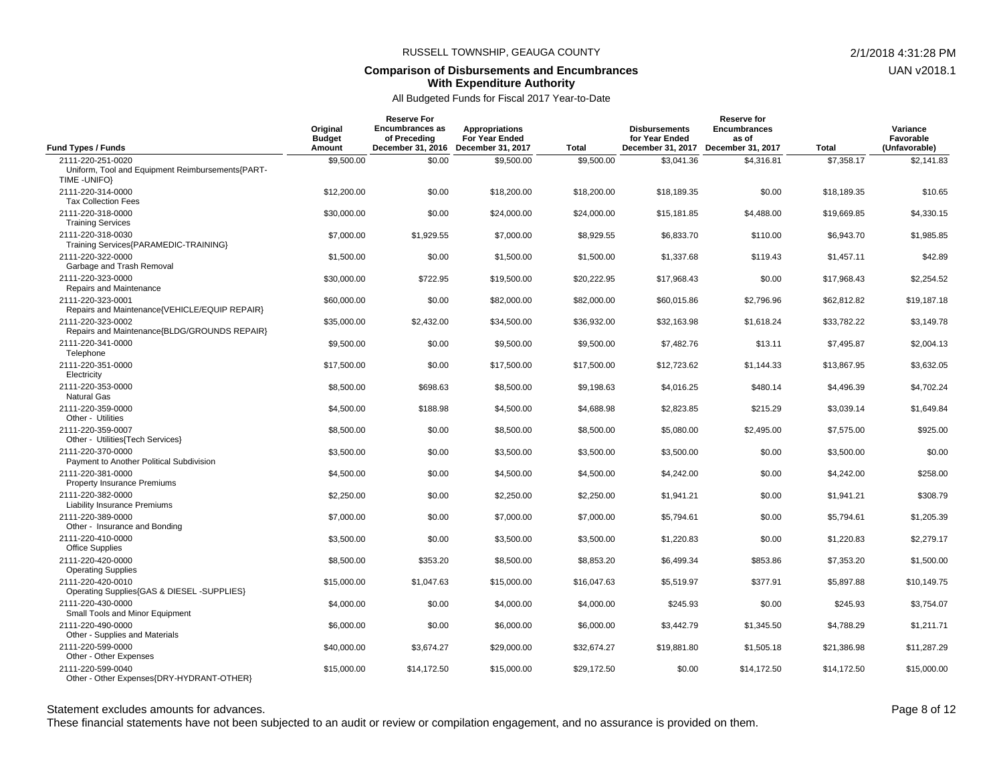#### **Comparison of Disbursements and Encumbrances With Expenditure Authority**

#### All Budgeted Funds for Fiscal 2017 Year-to-Date

|                                                                    | Original<br><b>Budget</b> | <b>Reserve For</b><br><b>Encumbrances as</b><br>of Preceding | <b>Appropriations</b><br><b>For Year Ended</b> |                            | <b>Disbursements</b><br>for Year Ended | <b>Reserve for</b><br><b>Encumbrances</b><br>as of |                            | Variance<br>Favorable       |
|--------------------------------------------------------------------|---------------------------|--------------------------------------------------------------|------------------------------------------------|----------------------------|----------------------------------------|----------------------------------------------------|----------------------------|-----------------------------|
| <b>Fund Types / Funds</b><br>2111-220-251-0020                     | Amount                    | December 31, 2016<br>\$0.00                                  | December 31, 2017<br>\$9,500.00                | <b>Total</b><br>\$9,500.00 | \$3,041.36                             | December 31, 2017 December 31, 2017<br>\$4,316.81  | <b>Total</b><br>\$7,358.17 | (Unfavorable)<br>\$2,141.83 |
| Uniform, Tool and Equipment Reimbursements{PART-<br>TIME - UNIFO}  | \$9,500.00                |                                                              |                                                |                            |                                        |                                                    |                            |                             |
| 2111-220-314-0000<br><b>Tax Collection Fees</b>                    | \$12,200.00               | \$0.00                                                       | \$18,200.00                                    | \$18,200.00                | \$18,189.35                            | \$0.00                                             | \$18,189.35                | \$10.65                     |
| 2111-220-318-0000<br><b>Training Services</b>                      | \$30,000.00               | \$0.00                                                       | \$24,000.00                                    | \$24,000.00                | \$15,181.85                            | \$4,488.00                                         | \$19,669.85                | \$4,330.15                  |
| 2111-220-318-0030<br>Training Services{PARAMEDIC-TRAINING}         | \$7,000.00                | \$1,929.55                                                   | \$7,000.00                                     | \$8,929.55                 | \$6,833.70                             | \$110.00                                           | \$6,943.70                 | \$1,985.85                  |
| 2111-220-322-0000<br>Garbage and Trash Removal                     | \$1,500.00                | \$0.00                                                       | \$1,500.00                                     | \$1,500.00                 | \$1,337.68                             | \$119.43                                           | \$1,457.11                 | \$42.89                     |
| 2111-220-323-0000<br>Repairs and Maintenance                       | \$30,000.00               | \$722.95                                                     | \$19,500.00                                    | \$20,222.95                | \$17,968.43                            | \$0.00                                             | \$17,968.43                | \$2,254.52                  |
| 2111-220-323-0001<br>Repairs and Maintenance{VEHICLE/EQUIP REPAIR} | \$60,000.00               | \$0.00                                                       | \$82,000.00                                    | \$82,000.00                | \$60,015.86                            | \$2,796.96                                         | \$62,812.82                | \$19,187.18                 |
| 2111-220-323-0002<br>Repairs and Maintenance{BLDG/GROUNDS REPAIR}  | \$35,000.00               | \$2,432.00                                                   | \$34,500.00                                    | \$36.932.00                | \$32.163.98                            | \$1,618.24                                         | \$33.782.22                | \$3,149.78                  |
| 2111-220-341-0000<br>Telephone                                     | \$9,500.00                | \$0.00                                                       | \$9,500.00                                     | \$9,500.00                 | \$7,482.76                             | \$13.11                                            | \$7,495.87                 | \$2,004.13                  |
| 2111-220-351-0000<br>Electricity                                   | \$17,500.00               | \$0.00                                                       | \$17,500.00                                    | \$17,500.00                | \$12,723.62                            | \$1,144.33                                         | \$13,867.95                | \$3,632.05                  |
| 2111-220-353-0000<br><b>Natural Gas</b>                            | \$8,500.00                | \$698.63                                                     | \$8,500.00                                     | \$9,198.63                 | \$4.016.25                             | \$480.14                                           | \$4,496.39                 | \$4,702.24                  |
| 2111-220-359-0000<br>Other - Utilities                             | \$4,500.00                | \$188.98                                                     | \$4,500.00                                     | \$4,688.98                 | \$2,823.85                             | \$215.29                                           | \$3,039.14                 | \$1,649.84                  |
| 2111-220-359-0007<br>Other - Utilities{Tech Services}              | \$8,500.00                | \$0.00                                                       | \$8,500.00                                     | \$8,500.00                 | \$5,080.00                             | \$2,495.00                                         | \$7,575.00                 | \$925.00                    |
| 2111-220-370-0000<br>Payment to Another Political Subdivision      | \$3.500.00                | \$0.00                                                       | \$3,500.00                                     | \$3,500.00                 | \$3,500.00                             | \$0.00                                             | \$3,500.00                 | \$0.00                      |
| 2111-220-381-0000<br><b>Property Insurance Premiums</b>            | \$4,500.00                | \$0.00                                                       | \$4,500.00                                     | \$4,500.00                 | \$4,242.00                             | \$0.00                                             | \$4,242.00                 | \$258.00                    |
| 2111-220-382-0000<br>Liability Insurance Premiums                  | \$2,250.00                | \$0.00                                                       | \$2,250.00                                     | \$2,250.00                 | \$1,941.21                             | \$0.00                                             | \$1,941.21                 | \$308.79                    |
| 2111-220-389-0000<br>Other - Insurance and Bonding                 | \$7,000.00                | \$0.00                                                       | \$7,000.00                                     | \$7,000.00                 | \$5.794.61                             | \$0.00                                             | \$5,794.61                 | \$1,205.39                  |
| 2111-220-410-0000<br><b>Office Supplies</b>                        | \$3,500.00                | \$0.00                                                       | \$3,500.00                                     | \$3,500.00                 | \$1,220.83                             | \$0.00                                             | \$1,220.83                 | \$2,279.17                  |
| 2111-220-420-0000<br><b>Operating Supplies</b>                     | \$8,500.00                | \$353.20                                                     | \$8,500.00                                     | \$8,853.20                 | \$6,499.34                             | \$853.86                                           | \$7,353.20                 | \$1,500.00                  |
| 2111-220-420-0010<br>Operating Supplies{GAS & DIESEL -SUPPLIES}    | \$15,000.00               | \$1,047.63                                                   | \$15,000.00                                    | \$16,047.63                | \$5.519.97                             | \$377.91                                           | \$5,897.88                 | \$10.149.75                 |
| 2111-220-430-0000<br>Small Tools and Minor Equipment               | \$4,000.00                | \$0.00                                                       | \$4,000.00                                     | \$4,000.00                 | \$245.93                               | \$0.00                                             | \$245.93                   | \$3,754.07                  |
| 2111-220-490-0000<br>Other - Supplies and Materials                | \$6,000.00                | \$0.00                                                       | \$6,000.00                                     | \$6,000.00                 | \$3,442.79                             | \$1,345.50                                         | \$4,788.29                 | \$1,211.71                  |
| 2111-220-599-0000<br>Other - Other Expenses                        | \$40,000.00               | \$3,674.27                                                   | \$29,000.00                                    | \$32,674.27                | \$19,881.80                            | \$1,505.18                                         | \$21,386.98                | \$11,287.29                 |
| 2111-220-599-0040<br>Other - Other Expenses{DRY-HYDRANT-OTHER}     | \$15,000.00               | \$14,172.50                                                  | \$15,000.00                                    | \$29,172.50                | \$0.00                                 | \$14,172.50                                        | \$14.172.50                | \$15,000.00                 |

Statement excludes amounts for advances. The statement excludes amounts for advances.

These financial statements have not been subjected to an audit or review or compilation engagement, and no assurance is provided on them.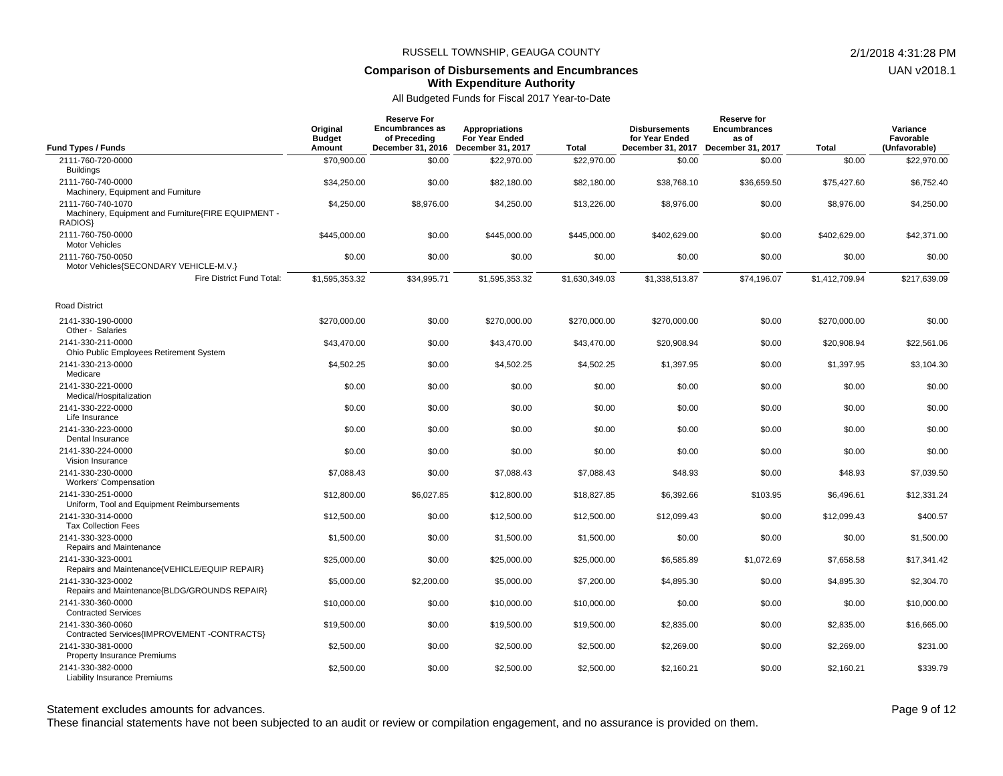#### **Comparison of Disbursements and Encumbrances With Expenditure Authority**

### All Budgeted Funds for Fiscal 2017 Year-to-Date

| <b>Fund Types / Funds</b>                                                           | Original<br><b>Budget</b><br>Amount | <b>Reserve For</b><br>Encumbrances as<br>of Preceding | Appropriations<br><b>For Year Ended</b><br>December 31, 2016 December 31, 2017 | Total          | <b>Disbursements</b><br>for Year Ended<br>December 31, 2017 | Reserve for<br><b>Encumbrances</b><br>as of<br>December 31, 2017 | <b>Total</b>   | Variance<br>Favorable<br>(Unfavorable) |
|-------------------------------------------------------------------------------------|-------------------------------------|-------------------------------------------------------|--------------------------------------------------------------------------------|----------------|-------------------------------------------------------------|------------------------------------------------------------------|----------------|----------------------------------------|
| 2111-760-720-0000                                                                   | \$70,900.00                         | \$0.00                                                | \$22,970.00                                                                    | \$22,970.00    | \$0.00                                                      | \$0.00                                                           | \$0.00         | \$22,970.00                            |
| <b>Buildings</b><br>2111-760-740-0000<br>Machinery, Equipment and Furniture         | \$34,250.00                         | \$0.00                                                | \$82,180.00                                                                    | \$82,180.00    | \$38,768.10                                                 | \$36,659.50                                                      | \$75,427.60    | \$6,752.40                             |
| 2111-760-740-1070<br>Machinery, Equipment and Furniture{FIRE EQUIPMENT -<br>RADIOS} | \$4,250.00                          | \$8,976.00                                            | \$4,250.00                                                                     | \$13,226.00    | \$8,976.00                                                  | \$0.00                                                           | \$8,976.00     | \$4,250.00                             |
| 2111-760-750-0000<br><b>Motor Vehicles</b>                                          | \$445,000.00                        | \$0.00                                                | \$445,000.00                                                                   | \$445,000.00   | \$402,629.00                                                | \$0.00                                                           | \$402,629.00   | \$42,371.00                            |
| 2111-760-750-0050<br>Motor Vehicles{SECONDARY VEHICLE-M.V.}                         | \$0.00                              | \$0.00                                                | \$0.00                                                                         | \$0.00         | \$0.00                                                      | \$0.00                                                           | \$0.00         | \$0.00                                 |
| Fire District Fund Total:                                                           | \$1,595,353.32                      | \$34,995.71                                           | \$1,595,353.32                                                                 | \$1,630,349.03 | \$1,338,513.87                                              | \$74,196.07                                                      | \$1,412,709.94 | \$217,639.09                           |
| <b>Road District</b>                                                                |                                     |                                                       |                                                                                |                |                                                             |                                                                  |                |                                        |
| 2141-330-190-0000<br>Other - Salaries                                               | \$270,000.00                        | \$0.00                                                | \$270,000.00                                                                   | \$270,000.00   | \$270,000.00                                                | \$0.00                                                           | \$270,000.00   | \$0.00                                 |
| 2141-330-211-0000<br>Ohio Public Employees Retirement System                        | \$43,470.00                         | \$0.00                                                | \$43,470.00                                                                    | \$43,470.00    | \$20,908.94                                                 | \$0.00                                                           | \$20,908.94    | \$22,561.06                            |
| 2141-330-213-0000<br>Medicare                                                       | \$4,502.25                          | \$0.00                                                | \$4,502.25                                                                     | \$4,502.25     | \$1,397.95                                                  | \$0.00                                                           | \$1,397.95     | \$3,104.30                             |
| 2141-330-221-0000<br>Medical/Hospitalization                                        | \$0.00                              | \$0.00                                                | \$0.00                                                                         | \$0.00         | \$0.00                                                      | \$0.00                                                           | \$0.00         | \$0.00                                 |
| 2141-330-222-0000<br>Life Insurance                                                 | \$0.00                              | \$0.00                                                | \$0.00                                                                         | \$0.00         | \$0.00                                                      | \$0.00                                                           | \$0.00         | \$0.00                                 |
| 2141-330-223-0000<br>Dental Insurance                                               | \$0.00                              | \$0.00                                                | \$0.00                                                                         | \$0.00         | \$0.00                                                      | \$0.00                                                           | \$0.00         | \$0.00                                 |
| 2141-330-224-0000<br>Vision Insurance                                               | \$0.00                              | \$0.00                                                | \$0.00                                                                         | \$0.00         | \$0.00                                                      | \$0.00                                                           | \$0.00         | \$0.00                                 |
| 2141-330-230-0000<br><b>Workers' Compensation</b>                                   | \$7,088.43                          | \$0.00                                                | \$7,088.43                                                                     | \$7,088.43     | \$48.93                                                     | \$0.00                                                           | \$48.93        | \$7,039.50                             |
| 2141-330-251-0000<br>Uniform, Tool and Equipment Reimbursements                     | \$12,800.00                         | \$6,027.85                                            | \$12,800.00                                                                    | \$18,827.85    | \$6,392.66                                                  | \$103.95                                                         | \$6,496.61     | \$12,331.24                            |
| 2141-330-314-0000<br><b>Tax Collection Fees</b>                                     | \$12,500.00                         | \$0.00                                                | \$12,500.00                                                                    | \$12,500.00    | \$12,099.43                                                 | \$0.00                                                           | \$12,099.43    | \$400.57                               |
| 2141-330-323-0000<br>Repairs and Maintenance                                        | \$1,500.00                          | \$0.00                                                | \$1,500.00                                                                     | \$1,500.00     | \$0.00                                                      | \$0.00                                                           | \$0.00         | \$1,500.00                             |
| 2141-330-323-0001<br>Repairs and Maintenance{VEHICLE/EQUIP REPAIR}                  | \$25,000.00                         | \$0.00                                                | \$25,000.00                                                                    | \$25,000.00    | \$6,585.89                                                  | \$1,072.69                                                       | \$7,658.58     | \$17,341.42                            |
| 2141-330-323-0002<br>Repairs and Maintenance{BLDG/GROUNDS REPAIR}                   | \$5,000.00                          | \$2,200.00                                            | \$5,000.00                                                                     | \$7,200.00     | \$4.895.30                                                  | \$0.00                                                           | \$4,895.30     | \$2.304.70                             |
| 2141-330-360-0000<br><b>Contracted Services</b>                                     | \$10,000.00                         | \$0.00                                                | \$10,000.00                                                                    | \$10,000.00    | \$0.00                                                      | \$0.00                                                           | \$0.00         | \$10,000.00                            |
| 2141-330-360-0060<br>Contracted Services{IMPROVEMENT -CONTRACTS}                    | \$19,500.00                         | \$0.00                                                | \$19,500.00                                                                    | \$19,500.00    | \$2,835.00                                                  | \$0.00                                                           | \$2,835.00     | \$16,665.00                            |
| 2141-330-381-0000<br>Property Insurance Premiums                                    | \$2,500.00                          | \$0.00                                                | \$2,500.00                                                                     | \$2,500.00     | \$2,269.00                                                  | \$0.00                                                           | \$2,269.00     | \$231.00                               |
| 2141-330-382-0000<br><b>Liability Insurance Premiums</b>                            | \$2,500.00                          | \$0.00                                                | \$2,500.00                                                                     | \$2,500.00     | \$2,160.21                                                  | \$0.00                                                           | \$2,160.21     | \$339.79                               |

Statement excludes amounts for advances. The statement excludes amounts for advances.

These financial statements have not been subjected to an audit or review or compilation engagement, and no assurance is provided on them.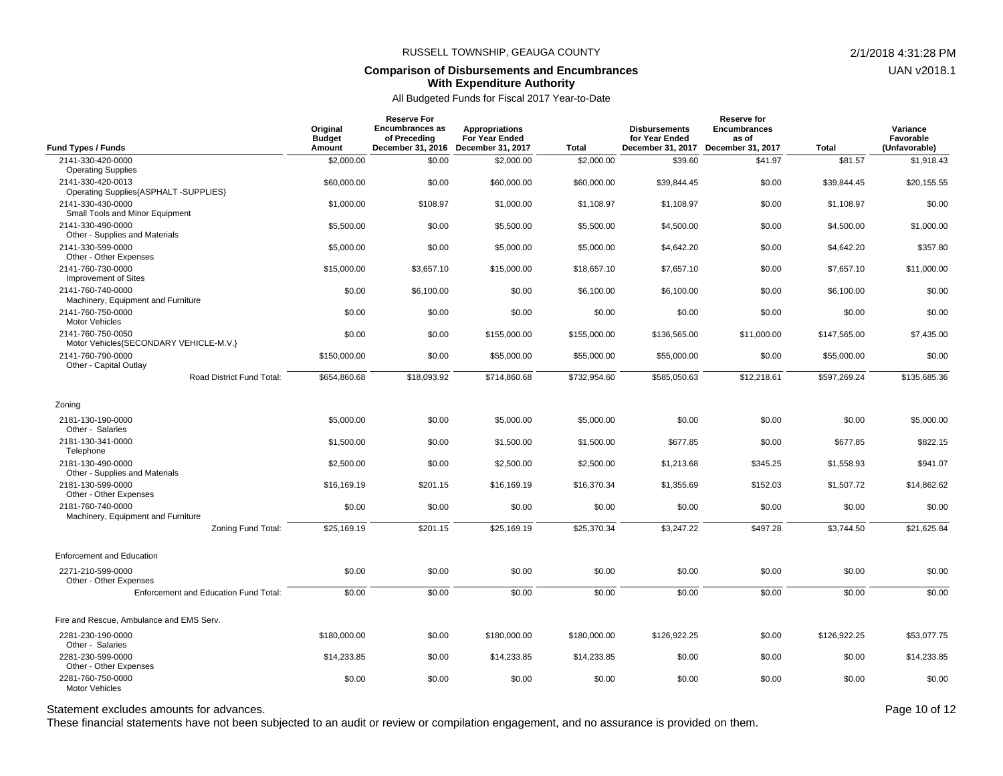#### **Comparison of Disbursements and Encumbrances With Expenditure Authority**

All Budgeted Funds for Fiscal 2017 Year-to-Date

| <b>Fund Types / Funds</b>                                                                     | Original<br><b>Budget</b><br>Amount | <b>Reserve For</b><br><b>Encumbrances as</b><br>of Preceding<br>December 31, 2016 | Appropriations<br>For Year Ended<br>December 31, 2017 | Total        | <b>Disbursements</b><br>for Year Ended<br>December 31, 2017 | <b>Reserve for</b><br><b>Encumbrances</b><br>as of<br>December 31, 2017 | <b>Total</b> | Variance<br>Favorable<br>(Unfavorable) |
|-----------------------------------------------------------------------------------------------|-------------------------------------|-----------------------------------------------------------------------------------|-------------------------------------------------------|--------------|-------------------------------------------------------------|-------------------------------------------------------------------------|--------------|----------------------------------------|
| 2141-330-420-0000                                                                             | \$2,000.00                          | \$0.00                                                                            | \$2,000.00                                            | \$2,000.00   | \$39.60                                                     | \$41.97                                                                 | \$81.57      | \$1,918.43                             |
| <b>Operating Supplies</b>                                                                     |                                     |                                                                                   |                                                       |              |                                                             |                                                                         |              |                                        |
| 2141-330-420-0013                                                                             | \$60,000.00                         | \$0.00                                                                            | \$60,000.00                                           | \$60,000.00  | \$39,844.45                                                 | \$0.00                                                                  | \$39,844.45  | \$20,155.55                            |
| Operating Supplies{ASPHALT -SUPPLIES}<br>2141-330-430-0000<br>Small Tools and Minor Equipment | \$1,000.00                          | \$108.97                                                                          | \$1,000.00                                            | \$1,108.97   | \$1,108.97                                                  | \$0.00                                                                  | \$1,108.97   | \$0.00                                 |
| 2141-330-490-0000<br>Other - Supplies and Materials                                           | \$5,500.00                          | \$0.00                                                                            | \$5,500.00                                            | \$5,500.00   | \$4,500.00                                                  | \$0.00                                                                  | \$4,500.00   | \$1,000.00                             |
| 2141-330-599-0000<br>Other - Other Expenses                                                   | \$5,000.00                          | \$0.00                                                                            | \$5,000.00                                            | \$5,000.00   | \$4,642.20                                                  | \$0.00                                                                  | \$4,642.20   | \$357.80                               |
| 2141-760-730-0000<br>Improvement of Sites                                                     | \$15,000.00                         | \$3,657.10                                                                        | \$15,000.00                                           | \$18,657.10  | \$7,657.10                                                  | \$0.00                                                                  | \$7,657.10   | \$11,000.00                            |
| 2141-760-740-0000<br>Machinery, Equipment and Furniture                                       | \$0.00                              | \$6,100.00                                                                        | \$0.00                                                | \$6,100.00   | \$6,100.00                                                  | \$0.00                                                                  | \$6,100.00   | \$0.00                                 |
| 2141-760-750-0000<br><b>Motor Vehicles</b>                                                    | \$0.00                              | \$0.00                                                                            | \$0.00                                                | \$0.00       | \$0.00                                                      | \$0.00                                                                  | \$0.00       | \$0.00                                 |
| 2141-760-750-0050<br>Motor Vehicles{SECONDARY VEHICLE-M.V.}                                   | \$0.00                              | \$0.00                                                                            | \$155,000.00                                          | \$155,000.00 | \$136,565.00                                                | \$11,000.00                                                             | \$147,565.00 | \$7,435.00                             |
| 2141-760-790-0000<br>Other - Capital Outlay                                                   | \$150,000.00                        | \$0.00                                                                            | \$55,000.00                                           | \$55,000.00  | \$55,000.00                                                 | \$0.00                                                                  | \$55,000.00  | \$0.00                                 |
| Road District Fund Total:                                                                     | \$654,860.68                        | \$18,093.92                                                                       | \$714,860.68                                          | \$732,954.60 | \$585,050.63                                                | \$12,218.61                                                             | \$597,269.24 | \$135,685.36                           |
| Zoning                                                                                        |                                     |                                                                                   |                                                       |              |                                                             |                                                                         |              |                                        |
| 2181-130-190-0000<br>Other - Salaries                                                         | \$5,000.00                          | \$0.00                                                                            | \$5,000.00                                            | \$5,000.00   | \$0.00                                                      | \$0.00                                                                  | \$0.00       | \$5,000.00                             |
| 2181-130-341-0000<br>Telephone                                                                | \$1,500.00                          | \$0.00                                                                            | \$1,500.00                                            | \$1,500.00   | \$677.85                                                    | \$0.00                                                                  | \$677.85     | \$822.15                               |
| 2181-130-490-0000<br>Other - Supplies and Materials                                           | \$2,500.00                          | \$0.00                                                                            | \$2,500.00                                            | \$2,500.00   | \$1,213.68                                                  | \$345.25                                                                | \$1,558.93   | \$941.07                               |
| 2181-130-599-0000<br>Other - Other Expenses                                                   | \$16.169.19                         | \$201.15                                                                          | \$16,169.19                                           | \$16,370.34  | \$1,355.69                                                  | \$152.03                                                                | \$1,507.72   | \$14,862.62                            |
| 2181-760-740-0000<br>Machinery, Equipment and Furniture                                       | \$0.00                              | \$0.00                                                                            | \$0.00                                                | \$0.00       | \$0.00                                                      | \$0.00                                                                  | \$0.00       | \$0.00                                 |
| Zoning Fund Total:                                                                            | \$25,169.19                         | \$201.15                                                                          | \$25,169.19                                           | \$25,370.34  | \$3,247.22                                                  | \$497.28                                                                | \$3,744.50   | \$21,625.84                            |
| <b>Enforcement and Education</b>                                                              |                                     |                                                                                   |                                                       |              |                                                             |                                                                         |              |                                        |
| 2271-210-599-0000<br>Other - Other Expenses                                                   | \$0.00                              | \$0.00                                                                            | \$0.00                                                | \$0.00       | \$0.00                                                      | \$0.00                                                                  | \$0.00       | \$0.00                                 |
| Enforcement and Education Fund Total:                                                         | \$0.00                              | \$0.00                                                                            | \$0.00                                                | \$0.00       | \$0.00                                                      | \$0.00                                                                  | \$0.00       | \$0.00                                 |
| Fire and Rescue. Ambulance and EMS Serv.                                                      |                                     |                                                                                   |                                                       |              |                                                             |                                                                         |              |                                        |
| 2281-230-190-0000<br>Other - Salaries                                                         | \$180,000.00                        | \$0.00                                                                            | \$180,000.00                                          | \$180,000.00 | \$126,922.25                                                | \$0.00                                                                  | \$126,922.25 | \$53,077.75                            |
| 2281-230-599-0000<br>Other - Other Expenses                                                   | \$14,233.85                         | \$0.00                                                                            | \$14,233.85                                           | \$14,233.85  | \$0.00                                                      | \$0.00                                                                  | \$0.00       | \$14,233.85                            |
| 2281-760-750-0000<br><b>Motor Vehicles</b>                                                    | \$0.00                              | \$0.00                                                                            | \$0.00                                                | \$0.00       | \$0.00                                                      | \$0.00                                                                  | \$0.00       | \$0.00                                 |

Statement excludes amounts for advances. The statement excludes amounts for advances.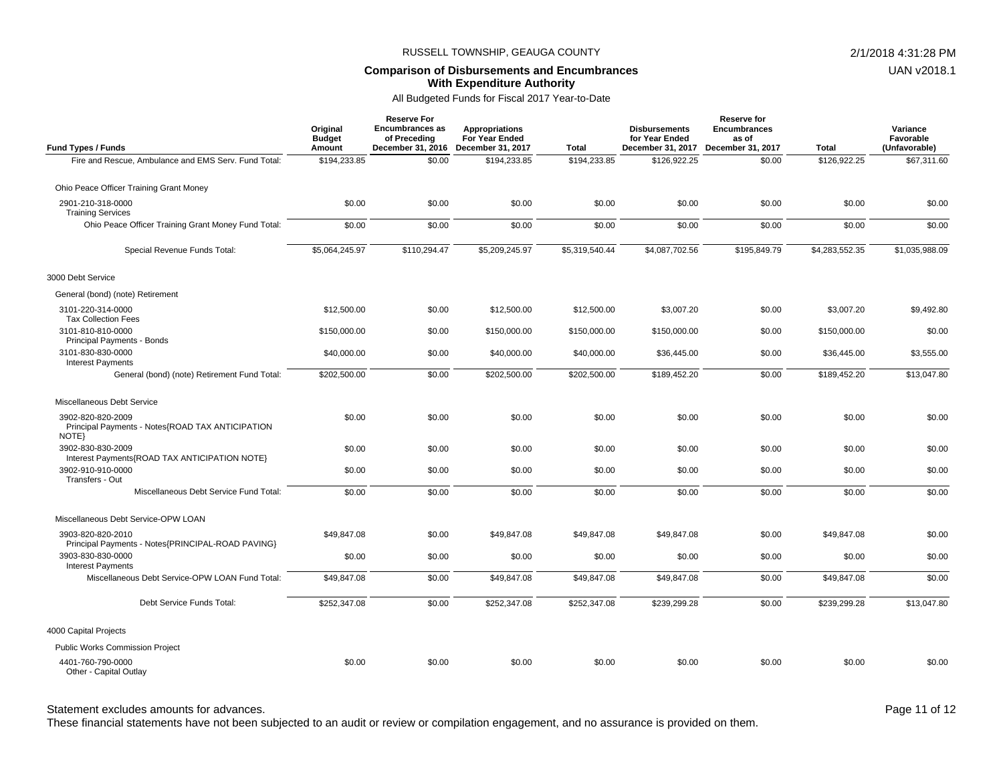#### **Comparison of Disbursements and Encumbrances With Expenditure Authority**

### All Budgeted Funds for Fiscal 2017 Year-to-Date

| <b>Fund Types / Funds</b>                                                      | Original<br><b>Budget</b><br>Amount | <b>Reserve For</b><br><b>Encumbrances as</b><br>of Preceding<br>December 31, 2016 | <b>Appropriations</b><br>For Year Ended<br>December 31, 2017 | Total          | <b>Disbursements</b><br>for Year Ended<br>December 31, 2017 | <b>Reserve for</b><br><b>Encumbrances</b><br>as of<br>December 31, 2017 | <b>Total</b>   | Variance<br>Favorable<br>(Unfavorable) |
|--------------------------------------------------------------------------------|-------------------------------------|-----------------------------------------------------------------------------------|--------------------------------------------------------------|----------------|-------------------------------------------------------------|-------------------------------------------------------------------------|----------------|----------------------------------------|
| Fire and Rescue, Ambulance and EMS Serv. Fund Total:                           | \$194,233.85                        | \$0.00                                                                            | \$194,233.85                                                 | \$194,233.85   | \$126,922.25                                                | \$0.00                                                                  | \$126,922.25   | \$67,311.60                            |
| Ohio Peace Officer Training Grant Money                                        |                                     |                                                                                   |                                                              |                |                                                             |                                                                         |                |                                        |
| 2901-210-318-0000<br><b>Training Services</b>                                  | \$0.00                              | \$0.00                                                                            | \$0.00                                                       | \$0.00         | \$0.00                                                      | \$0.00                                                                  | \$0.00         | \$0.00                                 |
| Ohio Peace Officer Training Grant Money Fund Total:                            | \$0.00                              | \$0.00                                                                            | \$0.00                                                       | \$0.00         | \$0.00                                                      | \$0.00                                                                  | \$0.00         | \$0.00                                 |
| Special Revenue Funds Total:                                                   | \$5,064,245.97                      | \$110,294.47                                                                      | \$5,209,245.97                                               | \$5,319,540.44 | \$4,087,702.56                                              | \$195,849.79                                                            | \$4,283,552.35 | \$1,035,988.09                         |
| 3000 Debt Service                                                              |                                     |                                                                                   |                                                              |                |                                                             |                                                                         |                |                                        |
| General (bond) (note) Retirement                                               |                                     |                                                                                   |                                                              |                |                                                             |                                                                         |                |                                        |
| 3101-220-314-0000<br><b>Tax Collection Fees</b>                                | \$12,500.00                         | \$0.00                                                                            | \$12,500.00                                                  | \$12,500.00    | \$3,007.20                                                  | \$0.00                                                                  | \$3,007.20     | \$9,492.80                             |
| 3101-810-810-0000<br>Principal Payments - Bonds                                | \$150,000.00                        | \$0.00                                                                            | \$150,000.00                                                 | \$150,000.00   | \$150,000.00                                                | \$0.00                                                                  | \$150,000.00   | \$0.00                                 |
| 3101-830-830-0000<br><b>Interest Payments</b>                                  | \$40,000.00                         | \$0.00                                                                            | \$40,000.00                                                  | \$40,000.00    | \$36,445.00                                                 | \$0.00                                                                  | \$36,445.00    | \$3,555.00                             |
| General (bond) (note) Retirement Fund Total:                                   | \$202,500.00                        | \$0.00                                                                            | \$202,500.00                                                 | \$202,500.00   | \$189,452.20                                                | \$0.00                                                                  | \$189,452.20   | \$13,047.80                            |
| Miscellaneous Debt Service                                                     |                                     |                                                                                   |                                                              |                |                                                             |                                                                         |                |                                        |
| 3902-820-820-2009<br>Principal Payments - Notes{ROAD TAX ANTICIPATION<br>NOTE} | \$0.00                              | \$0.00                                                                            | \$0.00                                                       | \$0.00         | \$0.00                                                      | \$0.00                                                                  | \$0.00         | \$0.00                                 |
| 3902-830-830-2009<br>Interest Payments{ROAD TAX ANTICIPATION NOTE}             | \$0.00                              | \$0.00                                                                            | \$0.00                                                       | \$0.00         | \$0.00                                                      | \$0.00                                                                  | \$0.00         | \$0.00                                 |
| 3902-910-910-0000<br>Transfers - Out                                           | \$0.00                              | \$0.00                                                                            | \$0.00                                                       | \$0.00         | \$0.00                                                      | \$0.00                                                                  | \$0.00         | \$0.00                                 |
| Miscellaneous Debt Service Fund Total:                                         | \$0.00                              | \$0.00                                                                            | \$0.00                                                       | \$0.00         | \$0.00                                                      | \$0.00                                                                  | \$0.00         | \$0.00                                 |
| Miscellaneous Debt Service-OPW LOAN                                            |                                     |                                                                                   |                                                              |                |                                                             |                                                                         |                |                                        |
| 3903-820-820-2010<br>Principal Payments - Notes{PRINCIPAL-ROAD PAVING}         | \$49,847.08                         | \$0.00                                                                            | \$49,847.08                                                  | \$49,847.08    | \$49,847.08                                                 | \$0.00                                                                  | \$49,847.08    | \$0.00                                 |
| 3903-830-830-0000<br><b>Interest Payments</b>                                  | \$0.00                              | \$0.00                                                                            | \$0.00                                                       | \$0.00         | \$0.00                                                      | \$0.00                                                                  | \$0.00         | \$0.00                                 |
| Miscellaneous Debt Service-OPW LOAN Fund Total:                                | \$49,847.08                         | \$0.00                                                                            | \$49,847.08                                                  | \$49,847.08    | \$49,847.08                                                 | \$0.00                                                                  | \$49,847.08    | \$0.00                                 |
| Debt Service Funds Total:                                                      | \$252,347.08                        | \$0.00                                                                            | \$252,347.08                                                 | \$252,347.08   | \$239,299.28                                                | \$0.00                                                                  | \$239,299.28   | \$13,047.80                            |
| 4000 Capital Projects                                                          |                                     |                                                                                   |                                                              |                |                                                             |                                                                         |                |                                        |
| <b>Public Works Commission Project</b>                                         |                                     |                                                                                   |                                                              |                |                                                             |                                                                         |                |                                        |
| 4401-760-790-0000<br>Other - Capital Outlay                                    | \$0.00                              | \$0.00                                                                            | \$0.00                                                       | \$0.00         | \$0.00                                                      | \$0.00                                                                  | \$0.00         | \$0.00                                 |

# Statement excludes amounts for advances. The statement excludes amounts for advances.